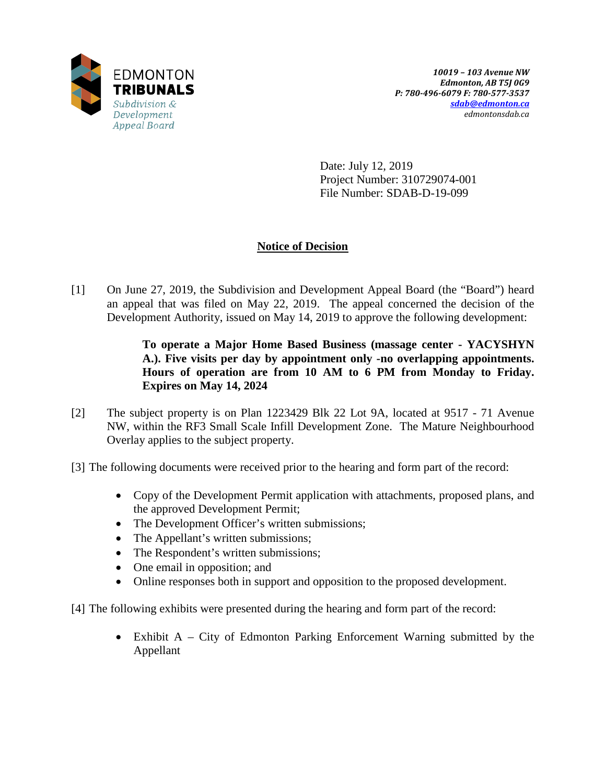

Date: July 12, 2019 Project Number: 310729074-001 File Number: SDAB-D-19-099

# **Notice of Decision**

[1] On June 27, 2019, the Subdivision and Development Appeal Board (the "Board") heard an appeal that was filed on May 22, 2019. The appeal concerned the decision of the Development Authority, issued on May 14, 2019 to approve the following development:

# **To operate a Major Home Based Business (massage center - YACYSHYN A.). Five visits per day by appointment only -no overlapping appointments. Hours of operation are from 10 AM to 6 PM from Monday to Friday. Expires on May 14, 2024**

- [2] The subject property is on Plan 1223429 Blk 22 Lot 9A, located at 9517 71 Avenue NW, within the RF3 Small Scale Infill Development Zone. The Mature Neighbourhood Overlay applies to the subject property.
- [3] The following documents were received prior to the hearing and form part of the record:
	- Copy of the Development Permit application with attachments, proposed plans, and the approved Development Permit;
	- The Development Officer's written submissions;
	- The Appellant's written submissions;
	- The Respondent's written submissions;
	- One email in opposition; and
	- Online responses both in support and opposition to the proposed development.
- [4] The following exhibits were presented during the hearing and form part of the record:
	- Exhibit A City of Edmonton Parking Enforcement Warning submitted by the Appellant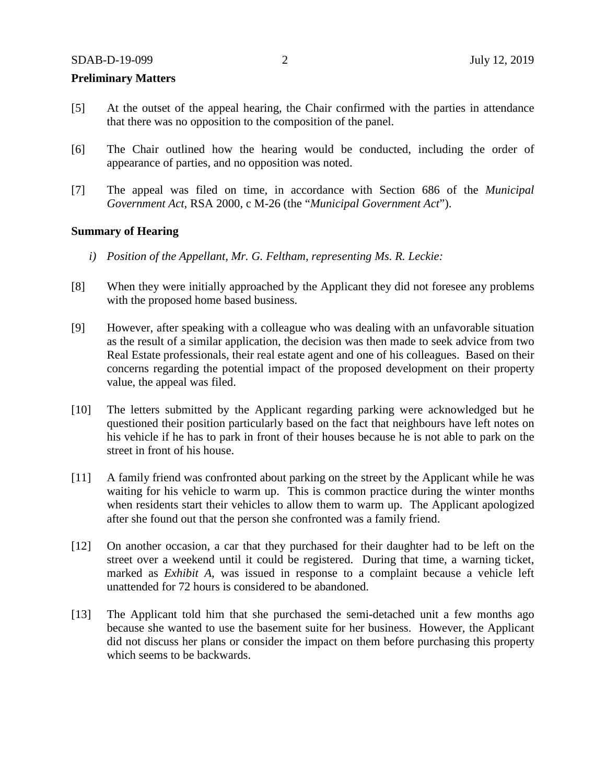#### **Preliminary Matters**

- [5] At the outset of the appeal hearing, the Chair confirmed with the parties in attendance that there was no opposition to the composition of the panel.
- [6] The Chair outlined how the hearing would be conducted, including the order of appearance of parties, and no opposition was noted.
- [7] The appeal was filed on time, in accordance with Section 686 of the *Municipal Government Act*, RSA 2000, c M-26 (the "*Municipal Government Act*").

## **Summary of Hearing**

- *i) Position of the Appellant, Mr. G. Feltham, representing Ms. R. Leckie:*
- [8] When they were initially approached by the Applicant they did not foresee any problems with the proposed home based business.
- [9] However, after speaking with a colleague who was dealing with an unfavorable situation as the result of a similar application, the decision was then made to seek advice from two Real Estate professionals, their real estate agent and one of his colleagues. Based on their concerns regarding the potential impact of the proposed development on their property value, the appeal was filed.
- [10] The letters submitted by the Applicant regarding parking were acknowledged but he questioned their position particularly based on the fact that neighbours have left notes on his vehicle if he has to park in front of their houses because he is not able to park on the street in front of his house.
- [11] A family friend was confronted about parking on the street by the Applicant while he was waiting for his vehicle to warm up. This is common practice during the winter months when residents start their vehicles to allow them to warm up. The Applicant apologized after she found out that the person she confronted was a family friend.
- [12] On another occasion, a car that they purchased for their daughter had to be left on the street over a weekend until it could be registered. During that time, a warning ticket, marked as *Exhibit A*, was issued in response to a complaint because a vehicle left unattended for 72 hours is considered to be abandoned.
- [13] The Applicant told him that she purchased the semi-detached unit a few months ago because she wanted to use the basement suite for her business. However, the Applicant did not discuss her plans or consider the impact on them before purchasing this property which seems to be backwards.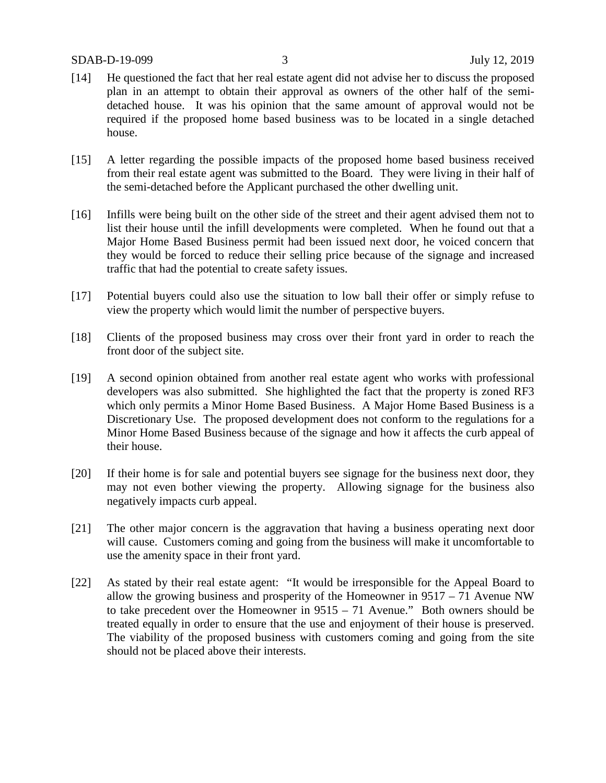- [14] He questioned the fact that her real estate agent did not advise her to discuss the proposed plan in an attempt to obtain their approval as owners of the other half of the semidetached house. It was his opinion that the same amount of approval would not be required if the proposed home based business was to be located in a single detached house.
- [15] A letter regarding the possible impacts of the proposed home based business received from their real estate agent was submitted to the Board. They were living in their half of the semi-detached before the Applicant purchased the other dwelling unit.
- [16] Infills were being built on the other side of the street and their agent advised them not to list their house until the infill developments were completed. When he found out that a Major Home Based Business permit had been issued next door, he voiced concern that they would be forced to reduce their selling price because of the signage and increased traffic that had the potential to create safety issues.
- [17] Potential buyers could also use the situation to low ball their offer or simply refuse to view the property which would limit the number of perspective buyers.
- [18] Clients of the proposed business may cross over their front yard in order to reach the front door of the subject site.
- [19] A second opinion obtained from another real estate agent who works with professional developers was also submitted. She highlighted the fact that the property is zoned RF3 which only permits a Minor Home Based Business. A Major Home Based Business is a Discretionary Use. The proposed development does not conform to the regulations for a Minor Home Based Business because of the signage and how it affects the curb appeal of their house.
- [20] If their home is for sale and potential buyers see signage for the business next door, they may not even bother viewing the property. Allowing signage for the business also negatively impacts curb appeal.
- [21] The other major concern is the aggravation that having a business operating next door will cause. Customers coming and going from the business will make it uncomfortable to use the amenity space in their front yard.
- [22] As stated by their real estate agent: "It would be irresponsible for the Appeal Board to allow the growing business and prosperity of the Homeowner in 9517 – 71 Avenue NW to take precedent over the Homeowner in 9515 – 71 Avenue." Both owners should be treated equally in order to ensure that the use and enjoyment of their house is preserved. The viability of the proposed business with customers coming and going from the site should not be placed above their interests.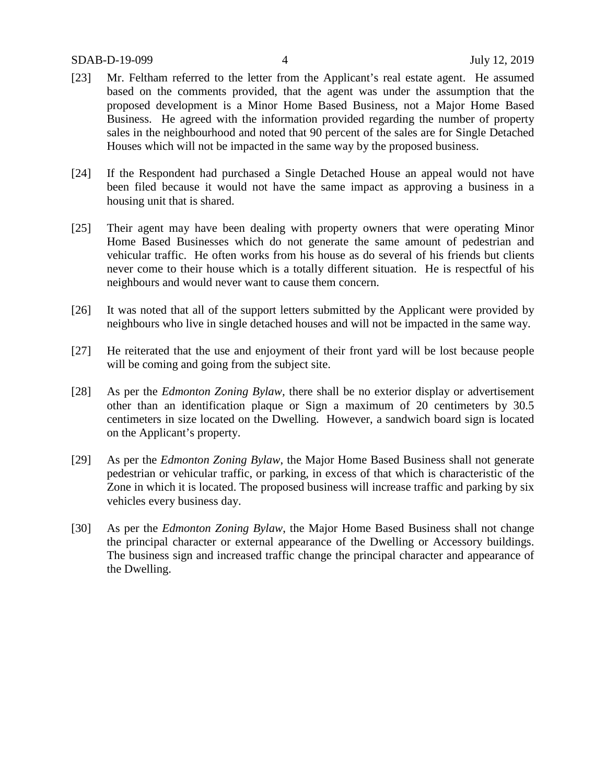## SDAB-D-19-099 4 July 12, 2019

- [23] Mr. Feltham referred to the letter from the Applicant's real estate agent. He assumed based on the comments provided, that the agent was under the assumption that the proposed development is a Minor Home Based Business, not a Major Home Based Business. He agreed with the information provided regarding the number of property sales in the neighbourhood and noted that 90 percent of the sales are for Single Detached Houses which will not be impacted in the same way by the proposed business.
- [24] If the Respondent had purchased a Single Detached House an appeal would not have been filed because it would not have the same impact as approving a business in a housing unit that is shared.
- [25] Their agent may have been dealing with property owners that were operating Minor Home Based Businesses which do not generate the same amount of pedestrian and vehicular traffic. He often works from his house as do several of his friends but clients never come to their house which is a totally different situation. He is respectful of his neighbours and would never want to cause them concern.
- [26] It was noted that all of the support letters submitted by the Applicant were provided by neighbours who live in single detached houses and will not be impacted in the same way.
- [27] He reiterated that the use and enjoyment of their front yard will be lost because people will be coming and going from the subject site.
- [28] As per the *Edmonton Zoning Bylaw,* there shall be no exterior display or advertisement other than an identification plaque or Sign a maximum of 20 centimeters by 30.5 centimeters in size located on the Dwelling. However, a sandwich board sign is located on the Applicant's property.
- [29] As per the *Edmonton Zoning Bylaw*, the Major Home Based Business shall not generate pedestrian or vehicular traffic, or parking, in excess of that which is characteristic of the Zone in which it is located. The proposed business will increase traffic and parking by six vehicles every business day.
- [30] As per the *Edmonton Zoning Bylaw*, the Major Home Based Business shall not change the principal character or external appearance of the Dwelling or Accessory buildings. The business sign and increased traffic change the principal character and appearance of the Dwelling.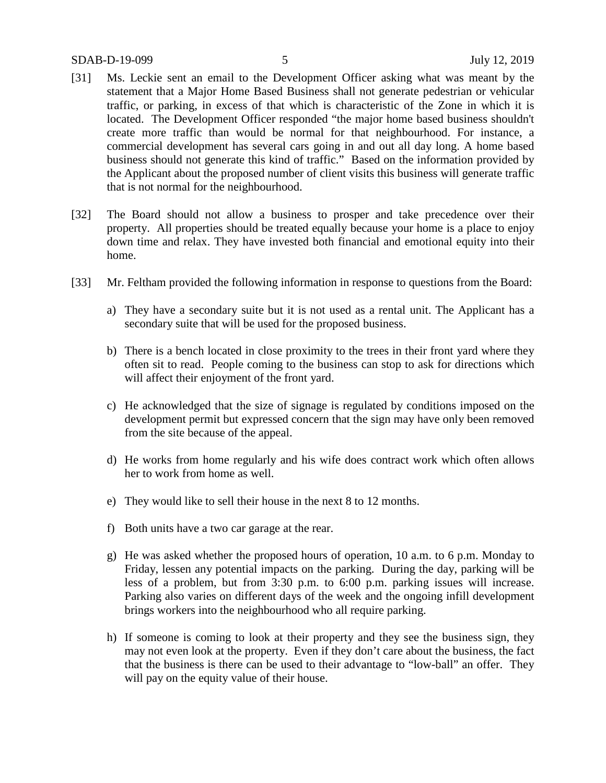- [31] Ms. Leckie sent an email to the Development Officer asking what was meant by the statement that a Major Home Based Business shall not generate pedestrian or vehicular traffic, or parking, in excess of that which is characteristic of the Zone in which it is located. The Development Officer responded "the major home based business shouldn't create more traffic than would be normal for that neighbourhood. For instance, a commercial development has several cars going in and out all day long. A home based business should not generate this kind of traffic." Based on the information provided by the Applicant about the proposed number of client visits this business will generate traffic that is not normal for the neighbourhood.
- [32] The Board should not allow a business to prosper and take precedence over their property. All properties should be treated equally because your home is a place to enjoy down time and relax. They have invested both financial and emotional equity into their home.
- [33] Mr. Feltham provided the following information in response to questions from the Board:
	- a) They have a secondary suite but it is not used as a rental unit. The Applicant has a secondary suite that will be used for the proposed business.
	- b) There is a bench located in close proximity to the trees in their front yard where they often sit to read. People coming to the business can stop to ask for directions which will affect their enjoyment of the front yard.
	- c) He acknowledged that the size of signage is regulated by conditions imposed on the development permit but expressed concern that the sign may have only been removed from the site because of the appeal.
	- d) He works from home regularly and his wife does contract work which often allows her to work from home as well.
	- e) They would like to sell their house in the next 8 to 12 months.
	- f) Both units have a two car garage at the rear.
	- g) He was asked whether the proposed hours of operation, 10 a.m. to 6 p.m. Monday to Friday, lessen any potential impacts on the parking. During the day, parking will be less of a problem, but from 3:30 p.m. to 6:00 p.m. parking issues will increase. Parking also varies on different days of the week and the ongoing infill development brings workers into the neighbourhood who all require parking.
	- h) If someone is coming to look at their property and they see the business sign, they may not even look at the property. Even if they don't care about the business, the fact that the business is there can be used to their advantage to "low-ball" an offer. They will pay on the equity value of their house.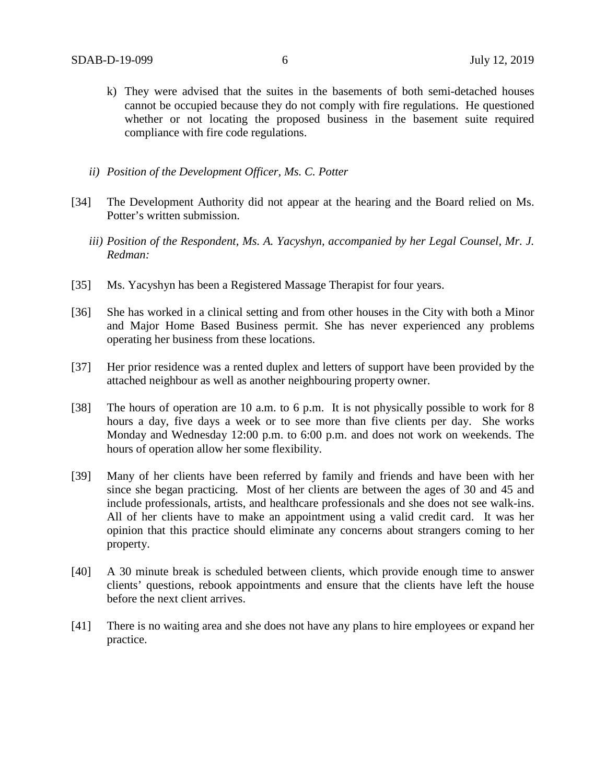- k) They were advised that the suites in the basements of both semi-detached houses cannot be occupied because they do not comply with fire regulations. He questioned whether or not locating the proposed business in the basement suite required compliance with fire code regulations.
- *ii) Position of the Development Officer, Ms. C. Potter*
- [34] The Development Authority did not appear at the hearing and the Board relied on Ms. Potter's written submission.
	- *iii) Position of the Respondent, Ms. A. Yacyshyn, accompanied by her Legal Counsel, Mr. J. Redman:*
- [35] Ms. Yacyshyn has been a Registered Massage Therapist for four years.
- [36] She has worked in a clinical setting and from other houses in the City with both a Minor and Major Home Based Business permit. She has never experienced any problems operating her business from these locations.
- [37] Her prior residence was a rented duplex and letters of support have been provided by the attached neighbour as well as another neighbouring property owner.
- [38] The hours of operation are 10 a.m. to 6 p.m. It is not physically possible to work for 8 hours a day, five days a week or to see more than five clients per day. She works Monday and Wednesday 12:00 p.m. to 6:00 p.m. and does not work on weekends. The hours of operation allow her some flexibility.
- [39] Many of her clients have been referred by family and friends and have been with her since she began practicing. Most of her clients are between the ages of 30 and 45 and include professionals, artists, and healthcare professionals and she does not see walk-ins. All of her clients have to make an appointment using a valid credit card. It was her opinion that this practice should eliminate any concerns about strangers coming to her property.
- [40] A 30 minute break is scheduled between clients, which provide enough time to answer clients' questions, rebook appointments and ensure that the clients have left the house before the next client arrives.
- [41] There is no waiting area and she does not have any plans to hire employees or expand her practice.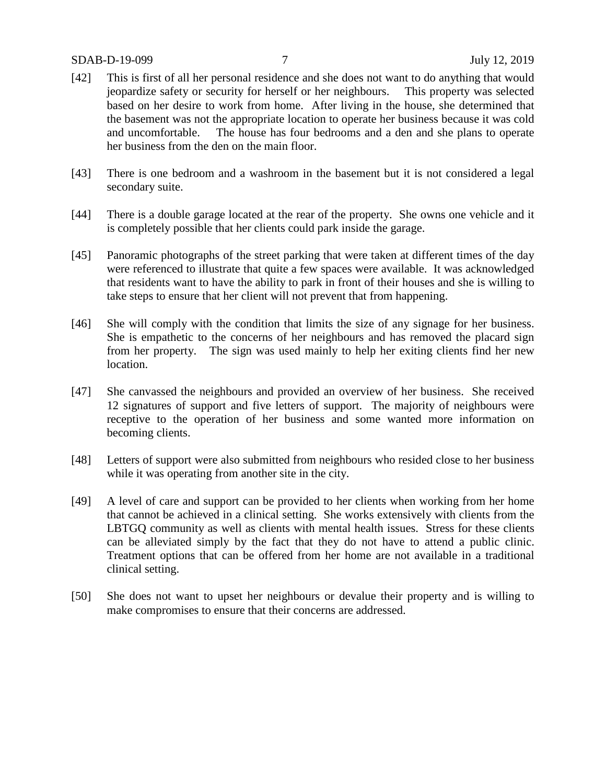## SDAB-D-19-099 7 July 12, 2019

- [42] This is first of all her personal residence and she does not want to do anything that would jeopardize safety or security for herself or her neighbours. This property was selected based on her desire to work from home. After living in the house, she determined that the basement was not the appropriate location to operate her business because it was cold and uncomfortable. The house has four bedrooms and a den and she plans to operate her business from the den on the main floor.
- [43] There is one bedroom and a washroom in the basement but it is not considered a legal secondary suite.
- [44] There is a double garage located at the rear of the property. She owns one vehicle and it is completely possible that her clients could park inside the garage.
- [45] Panoramic photographs of the street parking that were taken at different times of the day were referenced to illustrate that quite a few spaces were available. It was acknowledged that residents want to have the ability to park in front of their houses and she is willing to take steps to ensure that her client will not prevent that from happening.
- [46] She will comply with the condition that limits the size of any signage for her business. She is empathetic to the concerns of her neighbours and has removed the placard sign from her property. The sign was used mainly to help her exiting clients find her new location.
- [47] She canvassed the neighbours and provided an overview of her business. She received 12 signatures of support and five letters of support. The majority of neighbours were receptive to the operation of her business and some wanted more information on becoming clients.
- [48] Letters of support were also submitted from neighbours who resided close to her business while it was operating from another site in the city.
- [49] A level of care and support can be provided to her clients when working from her home that cannot be achieved in a clinical setting. She works extensively with clients from the LBTGQ community as well as clients with mental health issues. Stress for these clients can be alleviated simply by the fact that they do not have to attend a public clinic. Treatment options that can be offered from her home are not available in a traditional clinical setting.
- [50] She does not want to upset her neighbours or devalue their property and is willing to make compromises to ensure that their concerns are addressed.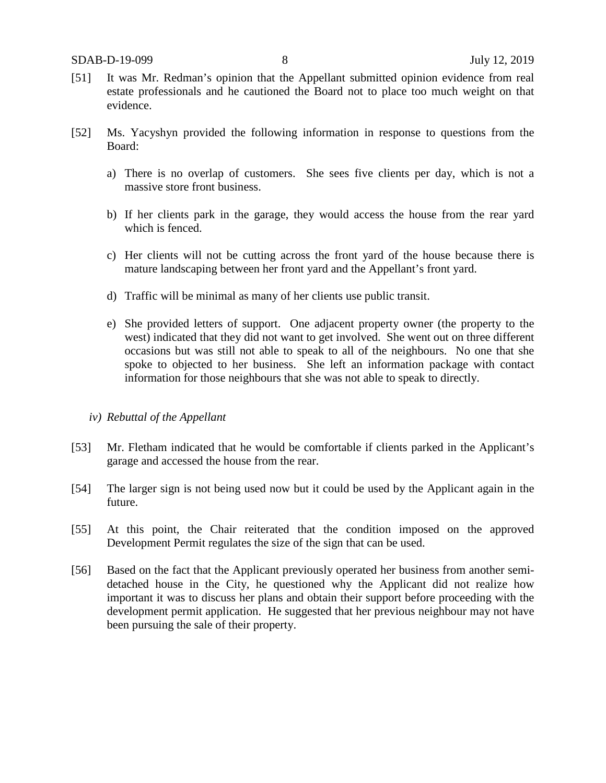- [51] It was Mr. Redman's opinion that the Appellant submitted opinion evidence from real estate professionals and he cautioned the Board not to place too much weight on that evidence.
- [52] Ms. Yacyshyn provided the following information in response to questions from the Board:
	- a) There is no overlap of customers. She sees five clients per day, which is not a massive store front business.
	- b) If her clients park in the garage, they would access the house from the rear yard which is fenced.
	- c) Her clients will not be cutting across the front yard of the house because there is mature landscaping between her front yard and the Appellant's front yard.
	- d) Traffic will be minimal as many of her clients use public transit.
	- e) She provided letters of support. One adjacent property owner (the property to the west) indicated that they did not want to get involved. She went out on three different occasions but was still not able to speak to all of the neighbours. No one that she spoke to objected to her business. She left an information package with contact information for those neighbours that she was not able to speak to directly.

## *iv) Rebuttal of the Appellant*

- [53] Mr. Fletham indicated that he would be comfortable if clients parked in the Applicant's garage and accessed the house from the rear.
- [54] The larger sign is not being used now but it could be used by the Applicant again in the future.
- [55] At this point, the Chair reiterated that the condition imposed on the approved Development Permit regulates the size of the sign that can be used.
- [56] Based on the fact that the Applicant previously operated her business from another semidetached house in the City, he questioned why the Applicant did not realize how important it was to discuss her plans and obtain their support before proceeding with the development permit application. He suggested that her previous neighbour may not have been pursuing the sale of their property.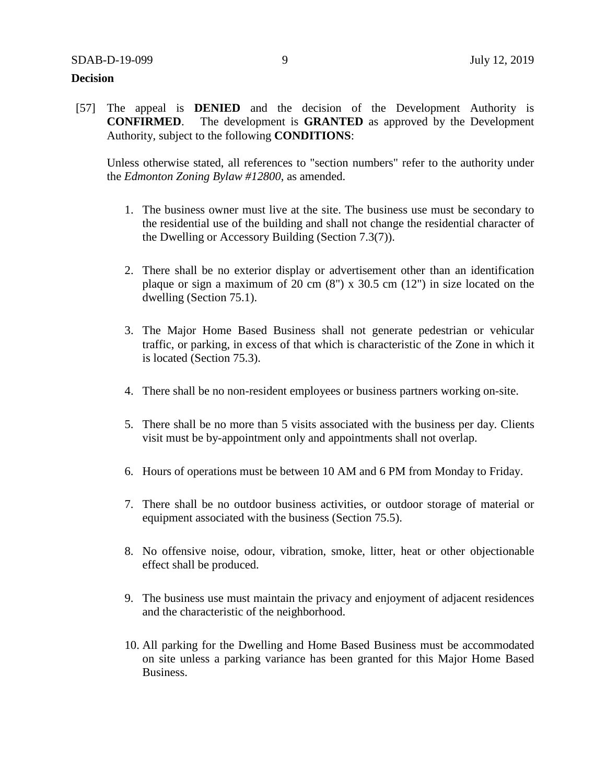## **Decision**

[57] The appeal is **DENIED** and the decision of the Development Authority is **CONFIRMED**. The development is **GRANTED** as approved by the Development Authority, subject to the following **CONDITIONS**:

Unless otherwise stated, all references to "section numbers" refer to the authority under the *Edmonton Zoning Bylaw #12800*, as amended.

- 1. The business owner must live at the site. The business use must be secondary to the residential use of the building and shall not change the residential character of the Dwelling or Accessory Building (Section 7.3(7)).
- 2. There shall be no exterior display or advertisement other than an identification plaque or sign a maximum of 20 cm  $(8)$  x 30.5 cm  $(12)$  in size located on the dwelling (Section 75.1).
- 3. The Major Home Based Business shall not generate pedestrian or vehicular traffic, or parking, in excess of that which is characteristic of the Zone in which it is located (Section 75.3).
- 4. There shall be no non-resident employees or business partners working on-site.
- 5. There shall be no more than 5 visits associated with the business per day. Clients visit must be by-appointment only and appointments shall not overlap.
- 6. Hours of operations must be between 10 AM and 6 PM from Monday to Friday.
- 7. There shall be no outdoor business activities, or outdoor storage of material or equipment associated with the business (Section 75.5).
- 8. No offensive noise, odour, vibration, smoke, litter, heat or other objectionable effect shall be produced.
- 9. The business use must maintain the privacy and enjoyment of adjacent residences and the characteristic of the neighborhood.
- 10. All parking for the Dwelling and Home Based Business must be accommodated on site unless a parking variance has been granted for this Major Home Based Business.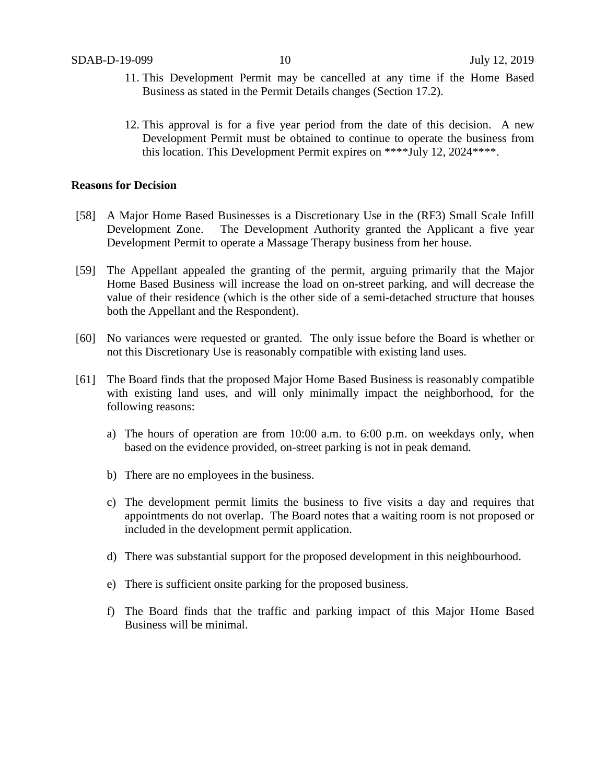- 11. This Development Permit may be cancelled at any time if the Home Based Business as stated in the Permit Details changes (Section 17.2).
- 12. This approval is for a five year period from the date of this decision. A new Development Permit must be obtained to continue to operate the business from this location. This Development Permit expires on \*\*\*\*July 12, 2024\*\*\*\*.

## **Reasons for Decision**

- [58] A Major Home Based Businesses is a Discretionary Use in the (RF3) Small Scale Infill Development Zone. The Development Authority granted the Applicant a five year Development Permit to operate a Massage Therapy business from her house.
- [59] The Appellant appealed the granting of the permit, arguing primarily that the Major Home Based Business will increase the load on on-street parking, and will decrease the value of their residence (which is the other side of a semi-detached structure that houses both the Appellant and the Respondent).
- [60] No variances were requested or granted. The only issue before the Board is whether or not this Discretionary Use is reasonably compatible with existing land uses.
- [61] The Board finds that the proposed Major Home Based Business is reasonably compatible with existing land uses, and will only minimally impact the neighborhood, for the following reasons:
	- a) The hours of operation are from 10:00 a.m. to 6:00 p.m. on weekdays only, when based on the evidence provided, on-street parking is not in peak demand.
	- b) There are no employees in the business.
	- c) The development permit limits the business to five visits a day and requires that appointments do not overlap. The Board notes that a waiting room is not proposed or included in the development permit application.
	- d) There was substantial support for the proposed development in this neighbourhood.
	- e) There is sufficient onsite parking for the proposed business.
	- f) The Board finds that the traffic and parking impact of this Major Home Based Business will be minimal.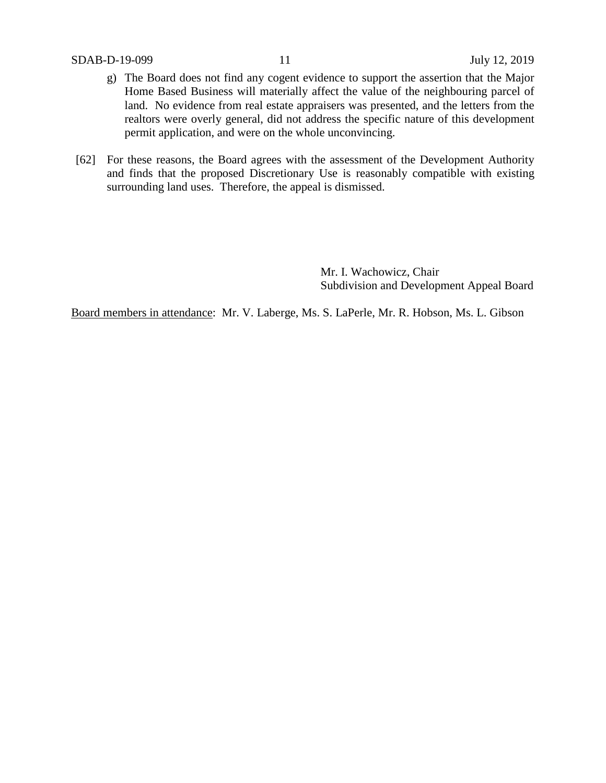- g) The Board does not find any cogent evidence to support the assertion that the Major Home Based Business will materially affect the value of the neighbouring parcel of land. No evidence from real estate appraisers was presented, and the letters from the realtors were overly general, did not address the specific nature of this development permit application, and were on the whole unconvincing.
- [62] For these reasons, the Board agrees with the assessment of the Development Authority and finds that the proposed Discretionary Use is reasonably compatible with existing surrounding land uses. Therefore, the appeal is dismissed.

Mr. I. Wachowicz, Chair Subdivision and Development Appeal Board

Board members in attendance: Mr. V. Laberge, Ms. S. LaPerle, Mr. R. Hobson, Ms. L. Gibson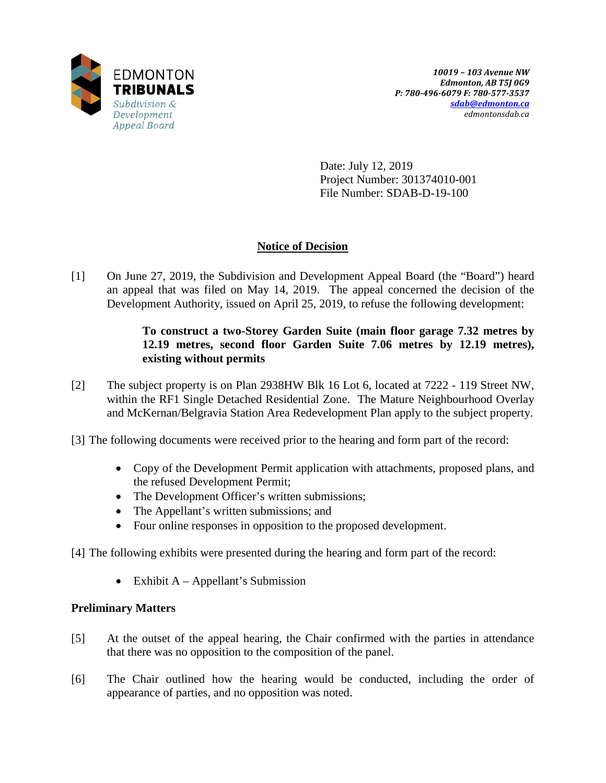

Date: July 12, 2019 Project Number: 301374010-001 File Number: SDAB-D-19-100

# **Notice of Decision**

[1] On June 27, 2019, the Subdivision and Development Appeal Board (the "Board") heard an appeal that was filed on May 14, 2019. The appeal concerned the decision of the Development Authority, issued on April 25, 2019, to refuse the following development:

# **To construct a two-Storey Garden Suite (main floor garage 7.32 metres by 12.19 metres, second floor Garden Suite 7.06 metres by 12.19 metres), existing without permits**

- [2] The subject property is on Plan 2938HW Blk 16 Lot 6, located at 7222 119 Street NW, within the RF1 Single Detached Residential Zone. The Mature Neighbourhood Overlay and McKernan/Belgravia Station Area Redevelopment Plan apply to the subject property.
- [3] The following documents were received prior to the hearing and form part of the record:
	- Copy of the Development Permit application with attachments, proposed plans, and the refused Development Permit;
	- The Development Officer's written submissions;
	- The Appellant's written submissions; and
	- Four online responses in opposition to the proposed development.
- [4] The following exhibits were presented during the hearing and form part of the record:
	- Exhibit  $A Appellant's Submission$

# **Preliminary Matters**

- [5] At the outset of the appeal hearing, the Chair confirmed with the parties in attendance that there was no opposition to the composition of the panel.
- [6] The Chair outlined how the hearing would be conducted, including the order of appearance of parties, and no opposition was noted.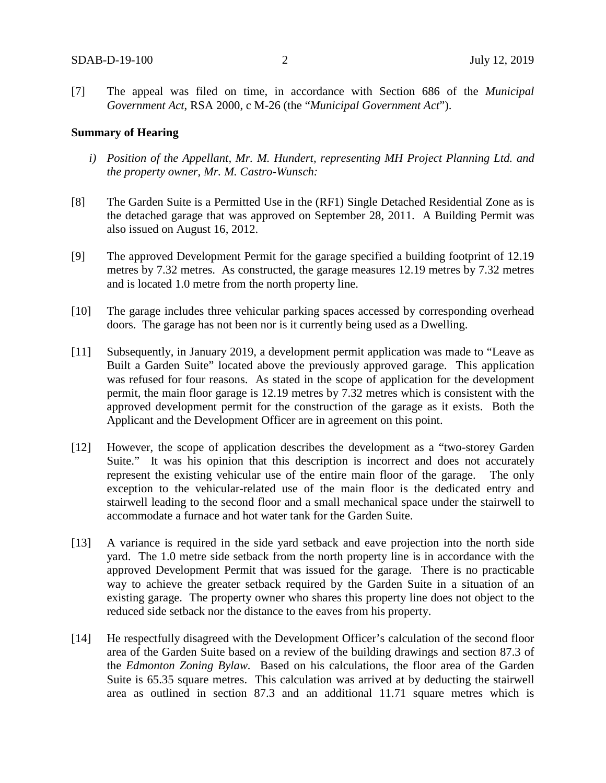[7] The appeal was filed on time, in accordance with Section 686 of the *Municipal Government Act*, RSA 2000, c M-26 (the "*Municipal Government Act*").

### **Summary of Hearing**

- *i) Position of the Appellant, Mr. M. Hundert, representing MH Project Planning Ltd. and the property owner, Mr. M. Castro-Wunsch:*
- [8] The Garden Suite is a Permitted Use in the (RF1) Single Detached Residential Zone as is the detached garage that was approved on September 28, 2011. A Building Permit was also issued on August 16, 2012.
- [9] The approved Development Permit for the garage specified a building footprint of 12.19 metres by 7.32 metres. As constructed, the garage measures 12.19 metres by 7.32 metres and is located 1.0 metre from the north property line.
- [10] The garage includes three vehicular parking spaces accessed by corresponding overhead doors. The garage has not been nor is it currently being used as a Dwelling.
- [11] Subsequently, in January 2019, a development permit application was made to "Leave as Built a Garden Suite" located above the previously approved garage. This application was refused for four reasons. As stated in the scope of application for the development permit, the main floor garage is 12.19 metres by 7.32 metres which is consistent with the approved development permit for the construction of the garage as it exists. Both the Applicant and the Development Officer are in agreement on this point.
- [12] However, the scope of application describes the development as a "two-storey Garden Suite." It was his opinion that this description is incorrect and does not accurately represent the existing vehicular use of the entire main floor of the garage. The only exception to the vehicular-related use of the main floor is the dedicated entry and stairwell leading to the second floor and a small mechanical space under the stairwell to accommodate a furnace and hot water tank for the Garden Suite.
- [13] A variance is required in the side yard setback and eave projection into the north side yard. The 1.0 metre side setback from the north property line is in accordance with the approved Development Permit that was issued for the garage. There is no practicable way to achieve the greater setback required by the Garden Suite in a situation of an existing garage. The property owner who shares this property line does not object to the reduced side setback nor the distance to the eaves from his property.
- [14] He respectfully disagreed with the Development Officer's calculation of the second floor area of the Garden Suite based on a review of the building drawings and section 87.3 of the *Edmonton Zoning Bylaw.* Based on his calculations, the floor area of the Garden Suite is 65.35 square metres. This calculation was arrived at by deducting the stairwell area as outlined in section 87.3 and an additional 11.71 square metres which is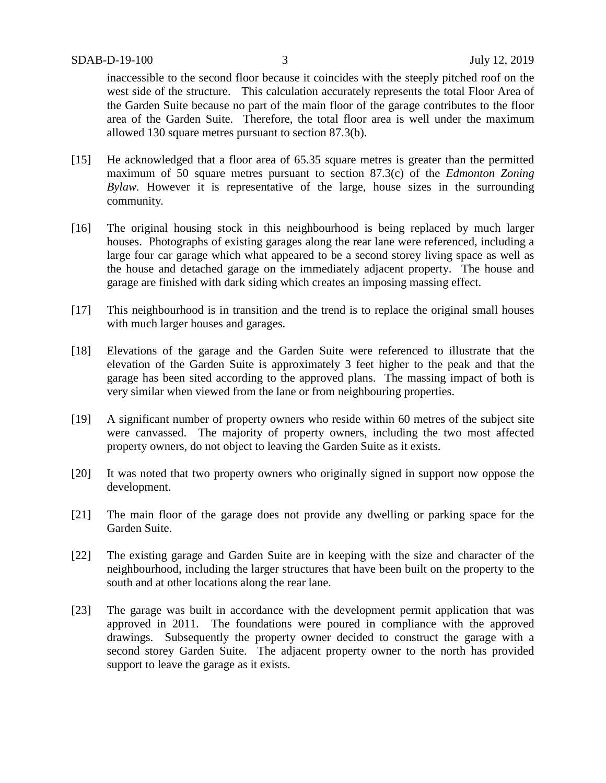inaccessible to the second floor because it coincides with the steeply pitched roof on the west side of the structure. This calculation accurately represents the total Floor Area of the Garden Suite because no part of the main floor of the garage contributes to the floor area of the Garden Suite. Therefore, the total floor area is well under the maximum allowed 130 square metres pursuant to section 87.3(b).

- [15] He acknowledged that a floor area of 65.35 square metres is greater than the permitted maximum of 50 square metres pursuant to section 87.3(c) of the *Edmonton Zoning Bylaw.* However it is representative of the large, house sizes in the surrounding community*.*
- [16] The original housing stock in this neighbourhood is being replaced by much larger houses. Photographs of existing garages along the rear lane were referenced, including a large four car garage which what appeared to be a second storey living space as well as the house and detached garage on the immediately adjacent property. The house and garage are finished with dark siding which creates an imposing massing effect.
- [17] This neighbourhood is in transition and the trend is to replace the original small houses with much larger houses and garages.
- [18] Elevations of the garage and the Garden Suite were referenced to illustrate that the elevation of the Garden Suite is approximately 3 feet higher to the peak and that the garage has been sited according to the approved plans. The massing impact of both is very similar when viewed from the lane or from neighbouring properties.
- [19] A significant number of property owners who reside within 60 metres of the subject site were canvassed. The majority of property owners, including the two most affected property owners, do not object to leaving the Garden Suite as it exists.
- [20] It was noted that two property owners who originally signed in support now oppose the development.
- [21] The main floor of the garage does not provide any dwelling or parking space for the Garden Suite.
- [22] The existing garage and Garden Suite are in keeping with the size and character of the neighbourhood, including the larger structures that have been built on the property to the south and at other locations along the rear lane.
- [23] The garage was built in accordance with the development permit application that was approved in 2011. The foundations were poured in compliance with the approved drawings. Subsequently the property owner decided to construct the garage with a second storey Garden Suite. The adjacent property owner to the north has provided support to leave the garage as it exists.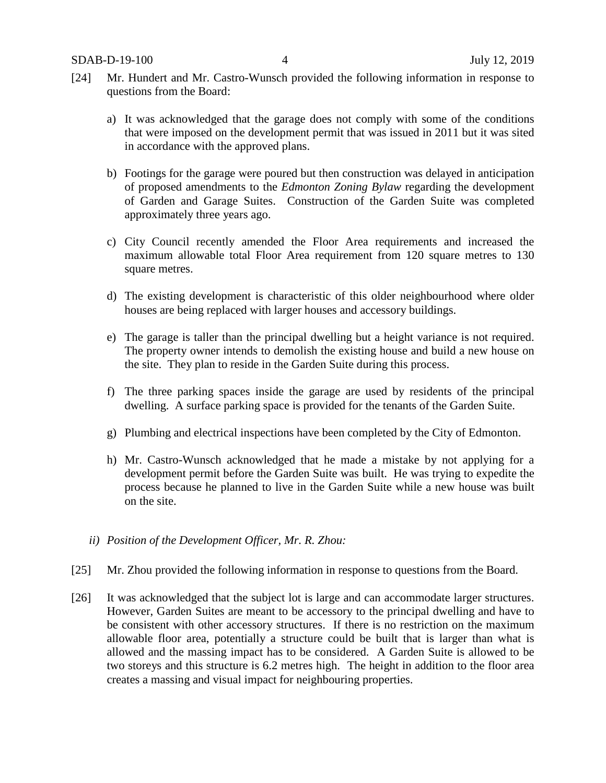- [24] Mr. Hundert and Mr. Castro-Wunsch provided the following information in response to questions from the Board:
	- a) It was acknowledged that the garage does not comply with some of the conditions that were imposed on the development permit that was issued in 2011 but it was sited in accordance with the approved plans.
	- b) Footings for the garage were poured but then construction was delayed in anticipation of proposed amendments to the *Edmonton Zoning Bylaw* regarding the development of Garden and Garage Suites. Construction of the Garden Suite was completed approximately three years ago.
	- c) City Council recently amended the Floor Area requirements and increased the maximum allowable total Floor Area requirement from 120 square metres to 130 square metres.
	- d) The existing development is characteristic of this older neighbourhood where older houses are being replaced with larger houses and accessory buildings.
	- e) The garage is taller than the principal dwelling but a height variance is not required. The property owner intends to demolish the existing house and build a new house on the site. They plan to reside in the Garden Suite during this process.
	- f) The three parking spaces inside the garage are used by residents of the principal dwelling. A surface parking space is provided for the tenants of the Garden Suite.
	- g) Plumbing and electrical inspections have been completed by the City of Edmonton.
	- h) Mr. Castro-Wunsch acknowledged that he made a mistake by not applying for a development permit before the Garden Suite was built. He was trying to expedite the process because he planned to live in the Garden Suite while a new house was built on the site.
	- *ii) Position of the Development Officer, Mr. R. Zhou:*
- [25] Mr. Zhou provided the following information in response to questions from the Board.
- [26] It was acknowledged that the subject lot is large and can accommodate larger structures. However, Garden Suites are meant to be accessory to the principal dwelling and have to be consistent with other accessory structures. If there is no restriction on the maximum allowable floor area, potentially a structure could be built that is larger than what is allowed and the massing impact has to be considered. A Garden Suite is allowed to be two storeys and this structure is 6.2 metres high. The height in addition to the floor area creates a massing and visual impact for neighbouring properties.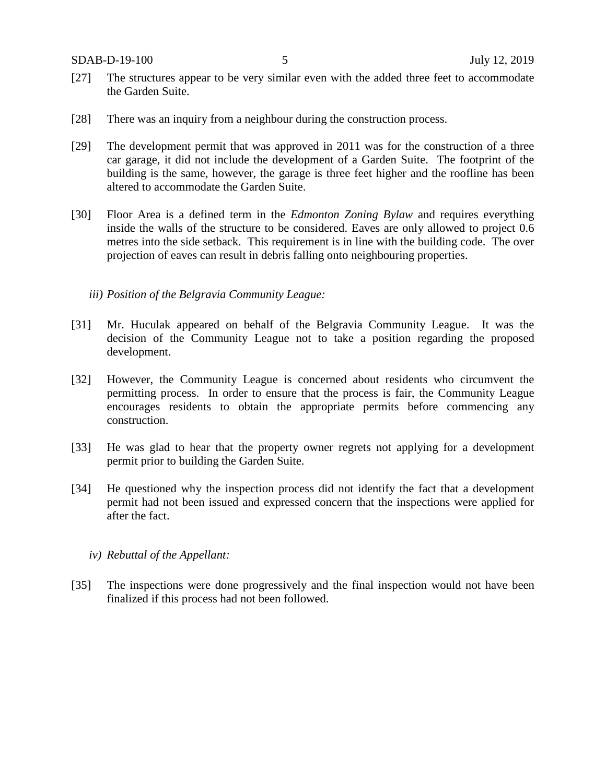SDAB-D-19-100 5 July 12, 2019

- [27] The structures appear to be very similar even with the added three feet to accommodate the Garden Suite.
- [28] There was an inquiry from a neighbour during the construction process.
- [29] The development permit that was approved in 2011 was for the construction of a three car garage, it did not include the development of a Garden Suite. The footprint of the building is the same, however, the garage is three feet higher and the roofline has been altered to accommodate the Garden Suite.
- [30] Floor Area is a defined term in the *Edmonton Zoning Bylaw* and requires everything inside the walls of the structure to be considered. Eaves are only allowed to project 0.6 metres into the side setback. This requirement is in line with the building code. The over projection of eaves can result in debris falling onto neighbouring properties.
	- *iii) Position of the Belgravia Community League:*
- [31] Mr. Huculak appeared on behalf of the Belgravia Community League. It was the decision of the Community League not to take a position regarding the proposed development.
- [32] However, the Community League is concerned about residents who circumvent the permitting process. In order to ensure that the process is fair, the Community League encourages residents to obtain the appropriate permits before commencing any construction.
- [33] He was glad to hear that the property owner regrets not applying for a development permit prior to building the Garden Suite.
- [34] He questioned why the inspection process did not identify the fact that a development permit had not been issued and expressed concern that the inspections were applied for after the fact.
	- *iv) Rebuttal of the Appellant:*
- [35] The inspections were done progressively and the final inspection would not have been finalized if this process had not been followed.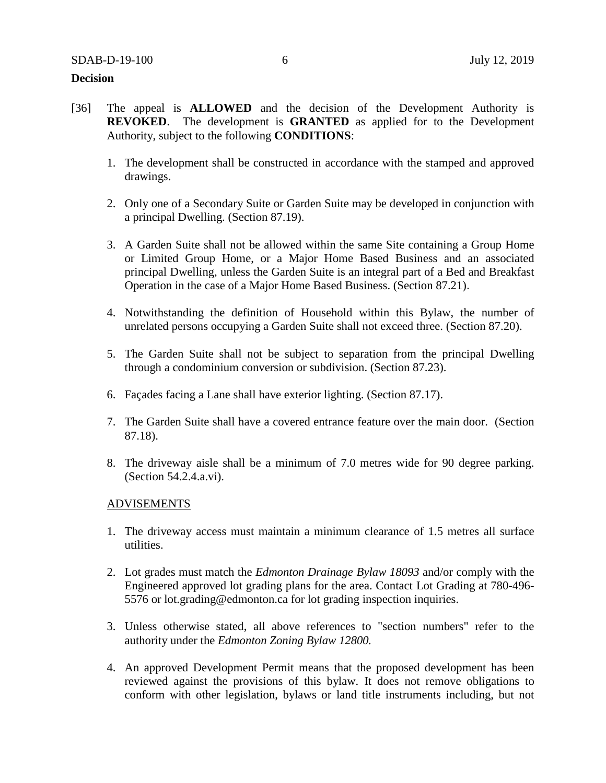## **Decision**

- [36] The appeal is **ALLOWED** and the decision of the Development Authority is **REVOKED**. The development is **GRANTED** as applied for to the Development Authority, subject to the following **CONDITIONS**:
	- 1. The development shall be constructed in accordance with the stamped and approved drawings.
	- 2. Only one of a Secondary Suite or Garden Suite may be developed in conjunction with a principal Dwelling. (Section 87.19).
	- 3. A Garden Suite shall not be allowed within the same Site containing a Group Home or Limited Group Home, or a Major Home Based Business and an associated principal Dwelling, unless the Garden Suite is an integral part of a Bed and Breakfast Operation in the case of a Major Home Based Business. (Section 87.21).
	- 4. Notwithstanding the definition of Household within this Bylaw, the number of unrelated persons occupying a Garden Suite shall not exceed three. (Section 87.20).
	- 5. The Garden Suite shall not be subject to separation from the principal Dwelling through a condominium conversion or subdivision. (Section 87.23).
	- 6. Façades facing a Lane shall have exterior lighting. (Section 87.17).
	- 7. The Garden Suite shall have a covered entrance feature over the main door. (Section 87.18).
	- 8. The driveway aisle shall be a minimum of 7.0 metres wide for 90 degree parking. (Section 54.2.4.a.vi).

#### ADVISEMENTS

- 1. The driveway access must maintain a minimum clearance of 1.5 metres all surface utilities.
- 2. Lot grades must match the *Edmonton Drainage Bylaw 18093* and/or comply with the Engineered approved lot grading plans for the area. Contact Lot Grading at 780-496- 5576 or lot.grading@edmonton.ca for lot grading inspection inquiries.
- 3. Unless otherwise stated, all above references to "section numbers" refer to the authority under the *Edmonton Zoning Bylaw 12800.*
- 4. An approved Development Permit means that the proposed development has been reviewed against the provisions of this bylaw. It does not remove obligations to conform with other legislation, bylaws or land title instruments including, but not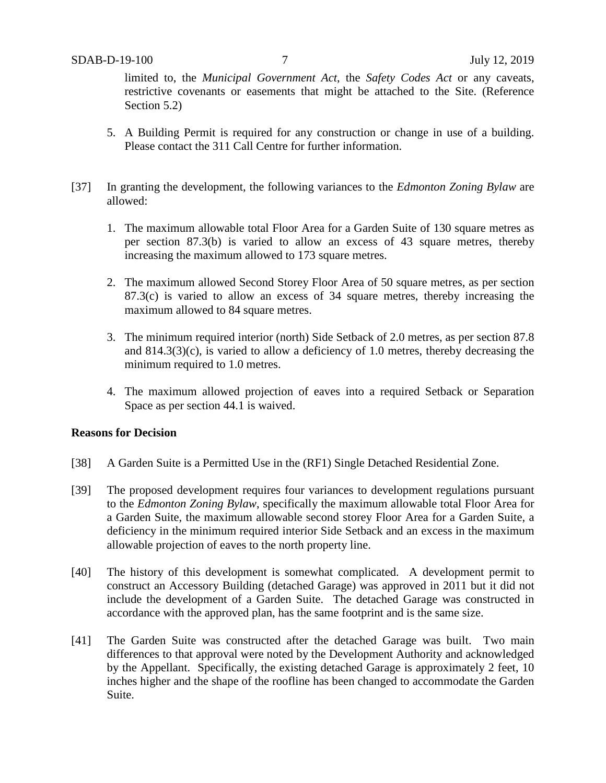limited to, the *Municipal Government Act*, the *Safety Codes Act* or any caveats, restrictive covenants or easements that might be attached to the Site. (Reference Section 5.2)

- 5. A Building Permit is required for any construction or change in use of a building. Please contact the 311 Call Centre for further information.
- [37] In granting the development, the following variances to the *Edmonton Zoning Bylaw* are allowed:
	- 1. The maximum allowable total Floor Area for a Garden Suite of 130 square metres as per section 87.3(b) is varied to allow an excess of 43 square metres, thereby increasing the maximum allowed to 173 square metres.
	- 2. The maximum allowed Second Storey Floor Area of 50 square metres, as per section 87.3(c) is varied to allow an excess of 34 square metres, thereby increasing the maximum allowed to 84 square metres.
	- 3. The minimum required interior (north) Side Setback of 2.0 metres, as per section 87.8 and 814.3(3)(c), is varied to allow a deficiency of 1.0 metres, thereby decreasing the minimum required to 1.0 metres.
	- 4. The maximum allowed projection of eaves into a required Setback or Separation Space as per section 44.1 is waived.

## **Reasons for Decision**

- [38] A Garden Suite is a Permitted Use in the (RF1) Single Detached Residential Zone.
- [39] The proposed development requires four variances to development regulations pursuant to the *Edmonton Zoning Bylaw*, specifically the maximum allowable total Floor Area for a Garden Suite, the maximum allowable second storey Floor Area for a Garden Suite, a deficiency in the minimum required interior Side Setback and an excess in the maximum allowable projection of eaves to the north property line.
- [40] The history of this development is somewhat complicated. A development permit to construct an Accessory Building (detached Garage) was approved in 2011 but it did not include the development of a Garden Suite. The detached Garage was constructed in accordance with the approved plan, has the same footprint and is the same size.
- [41] The Garden Suite was constructed after the detached Garage was built. Two main differences to that approval were noted by the Development Authority and acknowledged by the Appellant. Specifically, the existing detached Garage is approximately 2 feet, 10 inches higher and the shape of the roofline has been changed to accommodate the Garden Suite.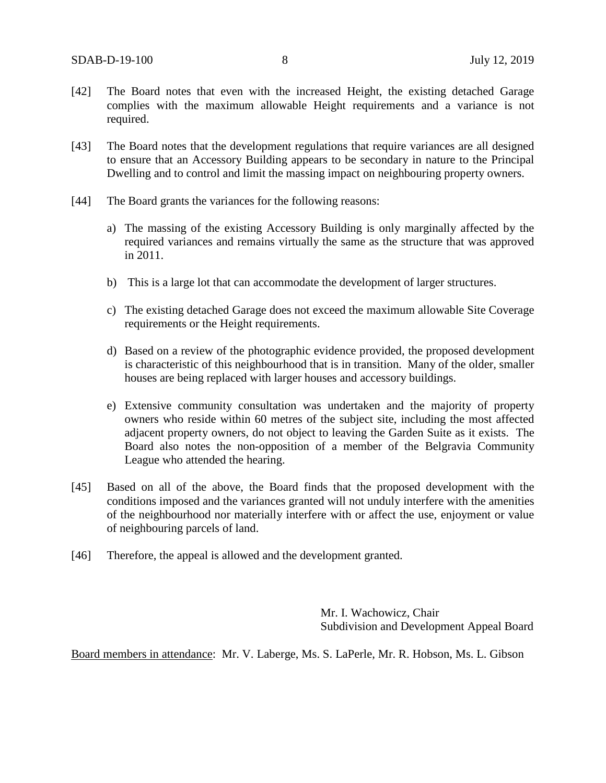- [42] The Board notes that even with the increased Height, the existing detached Garage complies with the maximum allowable Height requirements and a variance is not required.
- [43] The Board notes that the development regulations that require variances are all designed to ensure that an Accessory Building appears to be secondary in nature to the Principal Dwelling and to control and limit the massing impact on neighbouring property owners.
- [44] The Board grants the variances for the following reasons:
	- a) The massing of the existing Accessory Building is only marginally affected by the required variances and remains virtually the same as the structure that was approved in 2011.
	- b) This is a large lot that can accommodate the development of larger structures.
	- c) The existing detached Garage does not exceed the maximum allowable Site Coverage requirements or the Height requirements.
	- d) Based on a review of the photographic evidence provided, the proposed development is characteristic of this neighbourhood that is in transition. Many of the older, smaller houses are being replaced with larger houses and accessory buildings.
	- e) Extensive community consultation was undertaken and the majority of property owners who reside within 60 metres of the subject site, including the most affected adjacent property owners, do not object to leaving the Garden Suite as it exists. The Board also notes the non-opposition of a member of the Belgravia Community League who attended the hearing.
- [45] Based on all of the above, the Board finds that the proposed development with the conditions imposed and the variances granted will not unduly interfere with the amenities of the neighbourhood nor materially interfere with or affect the use, enjoyment or value of neighbouring parcels of land.
- [46] Therefore, the appeal is allowed and the development granted.

Mr. I. Wachowicz, Chair Subdivision and Development Appeal Board

Board members in attendance: Mr. V. Laberge, Ms. S. LaPerle, Mr. R. Hobson, Ms. L. Gibson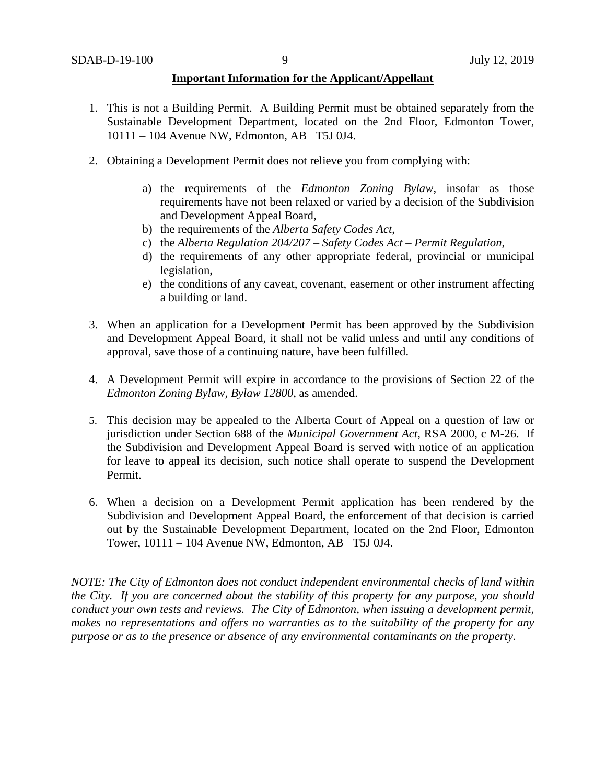## **Important Information for the Applicant/Appellant**

- 1. This is not a Building Permit. A Building Permit must be obtained separately from the Sustainable Development Department, located on the 2nd Floor, Edmonton Tower, 10111 – 104 Avenue NW, Edmonton, AB T5J 0J4.
- 2. Obtaining a Development Permit does not relieve you from complying with:
	- a) the requirements of the *Edmonton Zoning Bylaw*, insofar as those requirements have not been relaxed or varied by a decision of the Subdivision and Development Appeal Board,
	- b) the requirements of the *Alberta Safety Codes Act*,
	- c) the *Alberta Regulation 204/207 – Safety Codes Act – Permit Regulation*,
	- d) the requirements of any other appropriate federal, provincial or municipal legislation,
	- e) the conditions of any caveat, covenant, easement or other instrument affecting a building or land.
- 3. When an application for a Development Permit has been approved by the Subdivision and Development Appeal Board, it shall not be valid unless and until any conditions of approval, save those of a continuing nature, have been fulfilled.
- 4. A Development Permit will expire in accordance to the provisions of Section 22 of the *Edmonton Zoning Bylaw, Bylaw 12800*, as amended.
- 5. This decision may be appealed to the Alberta Court of Appeal on a question of law or jurisdiction under Section 688 of the *Municipal Government Act*, RSA 2000, c M-26. If the Subdivision and Development Appeal Board is served with notice of an application for leave to appeal its decision, such notice shall operate to suspend the Development Permit.
- 6. When a decision on a Development Permit application has been rendered by the Subdivision and Development Appeal Board, the enforcement of that decision is carried out by the Sustainable Development Department, located on the 2nd Floor, Edmonton Tower, 10111 – 104 Avenue NW, Edmonton, AB T5J 0J4.

*NOTE: The City of Edmonton does not conduct independent environmental checks of land within the City. If you are concerned about the stability of this property for any purpose, you should conduct your own tests and reviews. The City of Edmonton, when issuing a development permit, makes no representations and offers no warranties as to the suitability of the property for any purpose or as to the presence or absence of any environmental contaminants on the property.*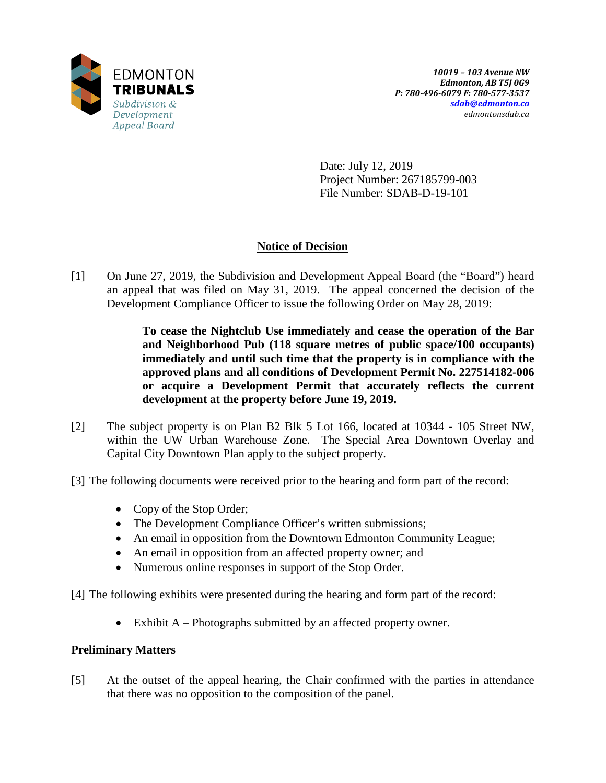

Date: July 12, 2019 Project Number: 267185799-003 File Number: SDAB-D-19-101

# **Notice of Decision**

[1] On June 27, 2019, the Subdivision and Development Appeal Board (the "Board") heard an appeal that was filed on May 31, 2019. The appeal concerned the decision of the Development Compliance Officer to issue the following Order on May 28, 2019:

> **To cease the Nightclub Use immediately and cease the operation of the Bar and Neighborhood Pub (118 square metres of public space/100 occupants) immediately and until such time that the property is in compliance with the approved plans and all conditions of Development Permit No. 227514182-006 or acquire a Development Permit that accurately reflects the current development at the property before June 19, 2019.**

- [2] The subject property is on Plan B2 Blk 5 Lot 166, located at 10344 105 Street NW, within the UW Urban Warehouse Zone. The Special Area Downtown Overlay and Capital City Downtown Plan apply to the subject property.
- [3] The following documents were received prior to the hearing and form part of the record:
	- Copy of the Stop Order;
	- The Development Compliance Officer's written submissions;
	- An email in opposition from the Downtown Edmonton Community League;
	- An email in opposition from an affected property owner; and
	- Numerous online responses in support of the Stop Order.
- [4] The following exhibits were presented during the hearing and form part of the record:
	- Exhibit A Photographs submitted by an affected property owner.

## **Preliminary Matters**

[5] At the outset of the appeal hearing, the Chair confirmed with the parties in attendance that there was no opposition to the composition of the panel.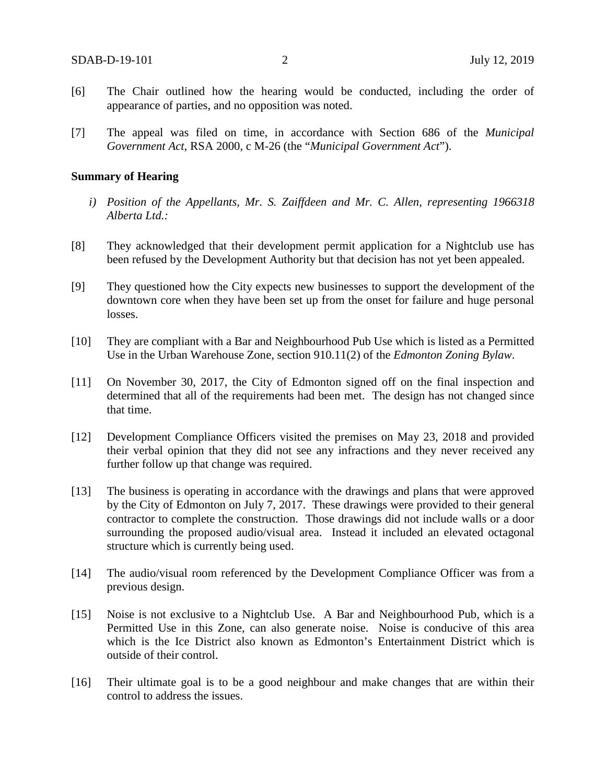- [6] The Chair outlined how the hearing would be conducted, including the order of appearance of parties, and no opposition was noted.
- [7] The appeal was filed on time, in accordance with Section 686 of the *Municipal Government Act*, RSA 2000, c M-26 (the "*Municipal Government Act*").

### **Summary of Hearing**

- *i) Position of the Appellants, Mr. S. Zaiffdeen and Mr. C. Allen, representing 1966318 Alberta Ltd.:*
- [8] They acknowledged that their development permit application for a Nightclub use has been refused by the Development Authority but that decision has not yet been appealed.
- [9] They questioned how the City expects new businesses to support the development of the downtown core when they have been set up from the onset for failure and huge personal losses.
- [10] They are compliant with a Bar and Neighbourhood Pub Use which is listed as a Permitted Use in the Urban Warehouse Zone, section 910.11(2) of the *Edmonton Zoning Bylaw*.
- [11] On November 30, 2017, the City of Edmonton signed off on the final inspection and determined that all of the requirements had been met. The design has not changed since that time.
- [12] Development Compliance Officers visited the premises on May 23, 2018 and provided their verbal opinion that they did not see any infractions and they never received any further follow up that change was required.
- [13] The business is operating in accordance with the drawings and plans that were approved by the City of Edmonton on July 7, 2017. These drawings were provided to their general contractor to complete the construction. Those drawings did not include walls or a door surrounding the proposed audio/visual area. Instead it included an elevated octagonal structure which is currently being used.
- [14] The audio/visual room referenced by the Development Compliance Officer was from a previous design.
- [15] Noise is not exclusive to a Nightclub Use. A Bar and Neighbourhood Pub, which is a Permitted Use in this Zone, can also generate noise. Noise is conducive of this area which is the Ice District also known as Edmonton's Entertainment District which is outside of their control.
- [16] Their ultimate goal is to be a good neighbour and make changes that are within their control to address the issues.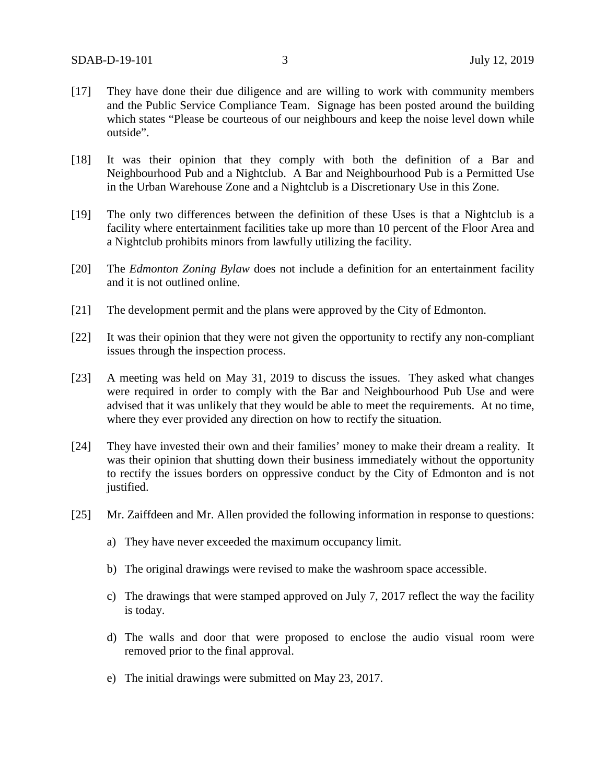- [17] They have done their due diligence and are willing to work with community members and the Public Service Compliance Team. Signage has been posted around the building which states "Please be courteous of our neighbours and keep the noise level down while outside".
- [18] It was their opinion that they comply with both the definition of a Bar and Neighbourhood Pub and a Nightclub. A Bar and Neighbourhood Pub is a Permitted Use in the Urban Warehouse Zone and a Nightclub is a Discretionary Use in this Zone.
- [19] The only two differences between the definition of these Uses is that a Nightclub is a facility where entertainment facilities take up more than 10 percent of the Floor Area and a Nightclub prohibits minors from lawfully utilizing the facility.
- [20] The *Edmonton Zoning Bylaw* does not include a definition for an entertainment facility and it is not outlined online.
- [21] The development permit and the plans were approved by the City of Edmonton.
- [22] It was their opinion that they were not given the opportunity to rectify any non-compliant issues through the inspection process.
- [23] A meeting was held on May 31, 2019 to discuss the issues. They asked what changes were required in order to comply with the Bar and Neighbourhood Pub Use and were advised that it was unlikely that they would be able to meet the requirements. At no time, where they ever provided any direction on how to rectify the situation.
- [24] They have invested their own and their families' money to make their dream a reality. It was their opinion that shutting down their business immediately without the opportunity to rectify the issues borders on oppressive conduct by the City of Edmonton and is not justified.
- [25] Mr. Zaiffdeen and Mr. Allen provided the following information in response to questions:
	- a) They have never exceeded the maximum occupancy limit.
	- b) The original drawings were revised to make the washroom space accessible.
	- c) The drawings that were stamped approved on July 7, 2017 reflect the way the facility is today.
	- d) The walls and door that were proposed to enclose the audio visual room were removed prior to the final approval.
	- e) The initial drawings were submitted on May 23, 2017.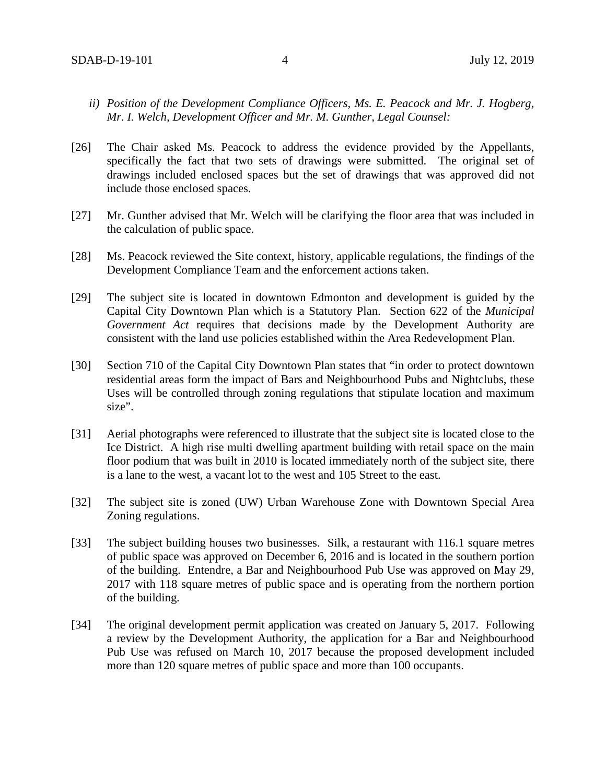- *ii) Position of the Development Compliance Officers, Ms. E. Peacock and Mr. J. Hogberg, Mr. I. Welch, Development Officer and Mr. M. Gunther, Legal Counsel:*
- [26] The Chair asked Ms. Peacock to address the evidence provided by the Appellants, specifically the fact that two sets of drawings were submitted. The original set of drawings included enclosed spaces but the set of drawings that was approved did not include those enclosed spaces.
- [27] Mr. Gunther advised that Mr. Welch will be clarifying the floor area that was included in the calculation of public space.
- [28] Ms. Peacock reviewed the Site context, history, applicable regulations, the findings of the Development Compliance Team and the enforcement actions taken.
- [29] The subject site is located in downtown Edmonton and development is guided by the Capital City Downtown Plan which is a Statutory Plan. Section 622 of the *Municipal Government Act* requires that decisions made by the Development Authority are consistent with the land use policies established within the Area Redevelopment Plan.
- [30] Section 710 of the Capital City Downtown Plan states that "in order to protect downtown residential areas form the impact of Bars and Neighbourhood Pubs and Nightclubs, these Uses will be controlled through zoning regulations that stipulate location and maximum size".
- [31] Aerial photographs were referenced to illustrate that the subject site is located close to the Ice District. A high rise multi dwelling apartment building with retail space on the main floor podium that was built in 2010 is located immediately north of the subject site, there is a lane to the west, a vacant lot to the west and 105 Street to the east.
- [32] The subject site is zoned (UW) Urban Warehouse Zone with Downtown Special Area Zoning regulations.
- [33] The subject building houses two businesses. Silk, a restaurant with 116.1 square metres of public space was approved on December 6, 2016 and is located in the southern portion of the building. Entendre, a Bar and Neighbourhood Pub Use was approved on May 29, 2017 with 118 square metres of public space and is operating from the northern portion of the building.
- [34] The original development permit application was created on January 5, 2017. Following a review by the Development Authority, the application for a Bar and Neighbourhood Pub Use was refused on March 10, 2017 because the proposed development included more than 120 square metres of public space and more than 100 occupants.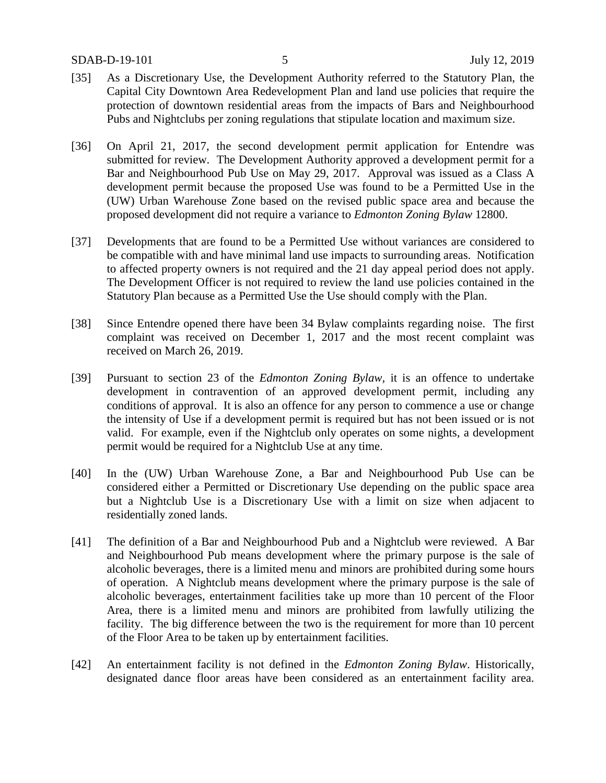- [35] As a Discretionary Use, the Development Authority referred to the Statutory Plan, the Capital City Downtown Area Redevelopment Plan and land use policies that require the protection of downtown residential areas from the impacts of Bars and Neighbourhood Pubs and Nightclubs per zoning regulations that stipulate location and maximum size.
- [36] On April 21, 2017, the second development permit application for Entendre was submitted for review. The Development Authority approved a development permit for a Bar and Neighbourhood Pub Use on May 29, 2017. Approval was issued as a Class A development permit because the proposed Use was found to be a Permitted Use in the (UW) Urban Warehouse Zone based on the revised public space area and because the proposed development did not require a variance to *Edmonton Zoning Bylaw* 12800.
- [37] Developments that are found to be a Permitted Use without variances are considered to be compatible with and have minimal land use impacts to surrounding areas. Notification to affected property owners is not required and the 21 day appeal period does not apply. The Development Officer is not required to review the land use policies contained in the Statutory Plan because as a Permitted Use the Use should comply with the Plan.
- [38] Since Entendre opened there have been 34 Bylaw complaints regarding noise. The first complaint was received on December 1, 2017 and the most recent complaint was received on March 26, 2019.
- [39] Pursuant to section 23 of the *Edmonton Zoning Bylaw*, it is an offence to undertake development in contravention of an approved development permit, including any conditions of approval. It is also an offence for any person to commence a use or change the intensity of Use if a development permit is required but has not been issued or is not valid. For example, even if the Nightclub only operates on some nights, a development permit would be required for a Nightclub Use at any time.
- [40] In the (UW) Urban Warehouse Zone, a Bar and Neighbourhood Pub Use can be considered either a Permitted or Discretionary Use depending on the public space area but a Nightclub Use is a Discretionary Use with a limit on size when adjacent to residentially zoned lands.
- [41] The definition of a Bar and Neighbourhood Pub and a Nightclub were reviewed. A Bar and Neighbourhood Pub means development where the primary purpose is the sale of alcoholic beverages, there is a limited menu and minors are prohibited during some hours of operation. A Nightclub means development where the primary purpose is the sale of alcoholic beverages, entertainment facilities take up more than 10 percent of the Floor Area, there is a limited menu and minors are prohibited from lawfully utilizing the facility. The big difference between the two is the requirement for more than 10 percent of the Floor Area to be taken up by entertainment facilities.
- [42] An entertainment facility is not defined in the *Edmonton Zoning Bylaw*. Historically, designated dance floor areas have been considered as an entertainment facility area.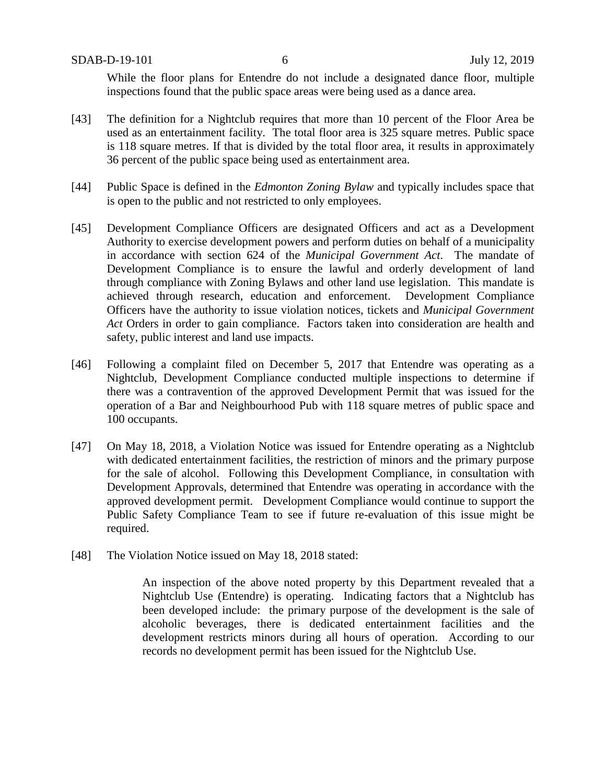While the floor plans for Entendre do not include a designated dance floor, multiple inspections found that the public space areas were being used as a dance area.

- [43] The definition for a Nightclub requires that more than 10 percent of the Floor Area be used as an entertainment facility. The total floor area is 325 square metres. Public space is 118 square metres. If that is divided by the total floor area, it results in approximately 36 percent of the public space being used as entertainment area.
- [44] Public Space is defined in the *Edmonton Zoning Bylaw* and typically includes space that is open to the public and not restricted to only employees.
- [45] Development Compliance Officers are designated Officers and act as a Development Authority to exercise development powers and perform duties on behalf of a municipality in accordance with section 624 of the *Municipal Government Act*. The mandate of Development Compliance is to ensure the lawful and orderly development of land through compliance with Zoning Bylaws and other land use legislation. This mandate is achieved through research, education and enforcement. Development Compliance Officers have the authority to issue violation notices, tickets and *Municipal Government Act* Orders in order to gain compliance. Factors taken into consideration are health and safety, public interest and land use impacts.
- [46] Following a complaint filed on December 5, 2017 that Entendre was operating as a Nightclub, Development Compliance conducted multiple inspections to determine if there was a contravention of the approved Development Permit that was issued for the operation of a Bar and Neighbourhood Pub with 118 square metres of public space and 100 occupants.
- [47] On May 18, 2018, a Violation Notice was issued for Entendre operating as a Nightclub with dedicated entertainment facilities, the restriction of minors and the primary purpose for the sale of alcohol. Following this Development Compliance, in consultation with Development Approvals, determined that Entendre was operating in accordance with the approved development permit.Development Compliance would continue to support the Public Safety Compliance Team to see if future re-evaluation of this issue might be required.
- [48] The Violation Notice issued on May 18, 2018 stated:

An inspection of the above noted property by this Department revealed that a Nightclub Use (Entendre) is operating. Indicating factors that a Nightclub has been developed include: the primary purpose of the development is the sale of alcoholic beverages, there is dedicated entertainment facilities and the development restricts minors during all hours of operation. According to our records no development permit has been issued for the Nightclub Use.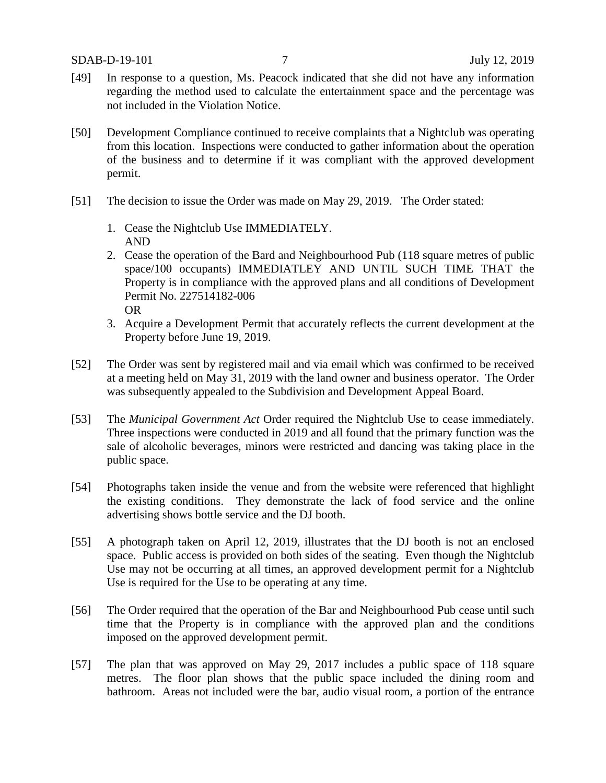- [49] In response to a question, Ms. Peacock indicated that she did not have any information regarding the method used to calculate the entertainment space and the percentage was not included in the Violation Notice.
- [50] Development Compliance continued to receive complaints that a Nightclub was operating from this location. Inspections were conducted to gather information about the operation of the business and to determine if it was compliant with the approved development permit.
- [51] The decision to issue the Order was made on May 29, 2019. The Order stated:
	- 1. Cease the Nightclub Use IMMEDIATELY. AND
	- 2. Cease the operation of the Bard and Neighbourhood Pub (118 square metres of public space/100 occupants) IMMEDIATLEY AND UNTIL SUCH TIME THAT the Property is in compliance with the approved plans and all conditions of Development Permit No. 227514182-006 OR
	- 3. Acquire a Development Permit that accurately reflects the current development at the Property before June 19, 2019.
- [52] The Order was sent by registered mail and via email which was confirmed to be received at a meeting held on May 31, 2019 with the land owner and business operator. The Order was subsequently appealed to the Subdivision and Development Appeal Board.
- [53] The *Municipal Government Act* Order required the Nightclub Use to cease immediately. Three inspections were conducted in 2019 and all found that the primary function was the sale of alcoholic beverages, minors were restricted and dancing was taking place in the public space.
- [54] Photographs taken inside the venue and from the website were referenced that highlight the existing conditions. They demonstrate the lack of food service and the online advertising shows bottle service and the DJ booth.
- [55] A photograph taken on April 12, 2019, illustrates that the DJ booth is not an enclosed space. Public access is provided on both sides of the seating. Even though the Nightclub Use may not be occurring at all times, an approved development permit for a Nightclub Use is required for the Use to be operating at any time.
- [56] The Order required that the operation of the Bar and Neighbourhood Pub cease until such time that the Property is in compliance with the approved plan and the conditions imposed on the approved development permit.
- [57] The plan that was approved on May 29, 2017 includes a public space of 118 square metres. The floor plan shows that the public space included the dining room and bathroom. Areas not included were the bar, audio visual room, a portion of the entrance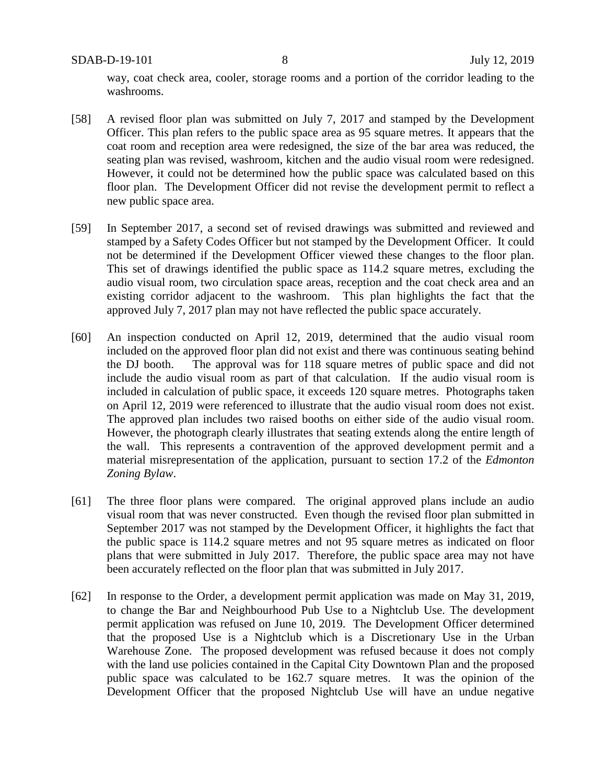way, coat check area, cooler, storage rooms and a portion of the corridor leading to the washrooms.

- [58] A revised floor plan was submitted on July 7, 2017 and stamped by the Development Officer. This plan refers to the public space area as 95 square metres. It appears that the coat room and reception area were redesigned, the size of the bar area was reduced, the seating plan was revised, washroom, kitchen and the audio visual room were redesigned. However, it could not be determined how the public space was calculated based on this floor plan. The Development Officer did not revise the development permit to reflect a new public space area.
- [59] In September 2017, a second set of revised drawings was submitted and reviewed and stamped by a Safety Codes Officer but not stamped by the Development Officer. It could not be determined if the Development Officer viewed these changes to the floor plan. This set of drawings identified the public space as 114.2 square metres, excluding the audio visual room, two circulation space areas, reception and the coat check area and an existing corridor adjacent to the washroom. This plan highlights the fact that the approved July 7, 2017 plan may not have reflected the public space accurately.
- [60] An inspection conducted on April 12, 2019, determined that the audio visual room included on the approved floor plan did not exist and there was continuous seating behind the DJ booth. The approval was for 118 square metres of public space and did not include the audio visual room as part of that calculation. If the audio visual room is included in calculation of public space, it exceeds 120 square metres. Photographs taken on April 12, 2019 were referenced to illustrate that the audio visual room does not exist. The approved plan includes two raised booths on either side of the audio visual room. However, the photograph clearly illustrates that seating extends along the entire length of the wall. This represents a contravention of the approved development permit and a material misrepresentation of the application, pursuant to section 17.2 of the *Edmonton Zoning Bylaw*.
- [61] The three floor plans were compared. The original approved plans include an audio visual room that was never constructed. Even though the revised floor plan submitted in September 2017 was not stamped by the Development Officer, it highlights the fact that the public space is 114.2 square metres and not 95 square metres as indicated on floor plans that were submitted in July 2017. Therefore, the public space area may not have been accurately reflected on the floor plan that was submitted in July 2017.
- [62] In response to the Order, a development permit application was made on May 31, 2019, to change the Bar and Neighbourhood Pub Use to a Nightclub Use. The development permit application was refused on June 10, 2019. The Development Officer determined that the proposed Use is a Nightclub which is a Discretionary Use in the Urban Warehouse Zone. The proposed development was refused because it does not comply with the land use policies contained in the Capital City Downtown Plan and the proposed public space was calculated to be 162.7 square metres. It was the opinion of the Development Officer that the proposed Nightclub Use will have an undue negative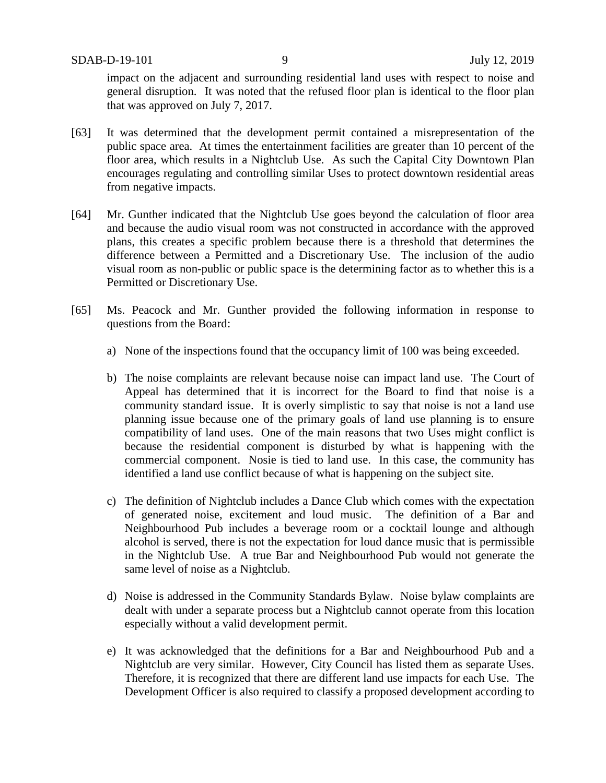impact on the adjacent and surrounding residential land uses with respect to noise and general disruption. It was noted that the refused floor plan is identical to the floor plan that was approved on July 7, 2017.

- [63] It was determined that the development permit contained a misrepresentation of the public space area. At times the entertainment facilities are greater than 10 percent of the floor area, which results in a Nightclub Use. As such the Capital City Downtown Plan encourages regulating and controlling similar Uses to protect downtown residential areas from negative impacts.
- [64] Mr. Gunther indicated that the Nightclub Use goes beyond the calculation of floor area and because the audio visual room was not constructed in accordance with the approved plans, this creates a specific problem because there is a threshold that determines the difference between a Permitted and a Discretionary Use. The inclusion of the audio visual room as non-public or public space is the determining factor as to whether this is a Permitted or Discretionary Use.
- [65] Ms. Peacock and Mr. Gunther provided the following information in response to questions from the Board:
	- a) None of the inspections found that the occupancy limit of 100 was being exceeded.
	- b) The noise complaints are relevant because noise can impact land use. The Court of Appeal has determined that it is incorrect for the Board to find that noise is a community standard issue. It is overly simplistic to say that noise is not a land use planning issue because one of the primary goals of land use planning is to ensure compatibility of land uses. One of the main reasons that two Uses might conflict is because the residential component is disturbed by what is happening with the commercial component. Nosie is tied to land use. In this case, the community has identified a land use conflict because of what is happening on the subject site.
	- c) The definition of Nightclub includes a Dance Club which comes with the expectation of generated noise, excitement and loud music. The definition of a Bar and Neighbourhood Pub includes a beverage room or a cocktail lounge and although alcohol is served, there is not the expectation for loud dance music that is permissible in the Nightclub Use. A true Bar and Neighbourhood Pub would not generate the same level of noise as a Nightclub.
	- d) Noise is addressed in the Community Standards Bylaw. Noise bylaw complaints are dealt with under a separate process but a Nightclub cannot operate from this location especially without a valid development permit.
	- e) It was acknowledged that the definitions for a Bar and Neighbourhood Pub and a Nightclub are very similar. However, City Council has listed them as separate Uses. Therefore, it is recognized that there are different land use impacts for each Use. The Development Officer is also required to classify a proposed development according to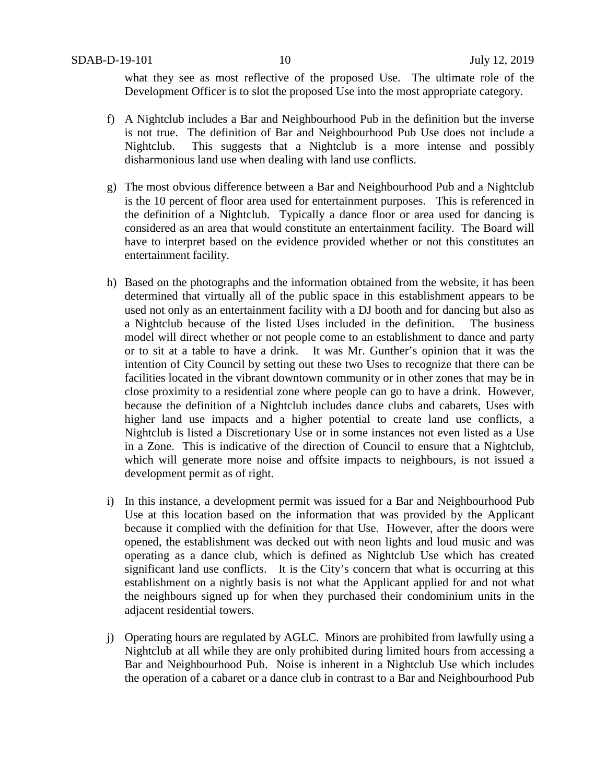what they see as most reflective of the proposed Use. The ultimate role of the Development Officer is to slot the proposed Use into the most appropriate category.

- f) A Nightclub includes a Bar and Neighbourhood Pub in the definition but the inverse is not true. The definition of Bar and Neighbourhood Pub Use does not include a Nightclub. This suggests that a Nightclub is a more intense and possibly disharmonious land use when dealing with land use conflicts.
- g) The most obvious difference between a Bar and Neighbourhood Pub and a Nightclub is the 10 percent of floor area used for entertainment purposes. This is referenced in the definition of a Nightclub. Typically a dance floor or area used for dancing is considered as an area that would constitute an entertainment facility. The Board will have to interpret based on the evidence provided whether or not this constitutes an entertainment facility.
- h) Based on the photographs and the information obtained from the website, it has been determined that virtually all of the public space in this establishment appears to be used not only as an entertainment facility with a DJ booth and for dancing but also as a Nightclub because of the listed Uses included in the definition. The business model will direct whether or not people come to an establishment to dance and party or to sit at a table to have a drink. It was Mr. Gunther's opinion that it was the intention of City Council by setting out these two Uses to recognize that there can be facilities located in the vibrant downtown community or in other zones that may be in close proximity to a residential zone where people can go to have a drink. However, because the definition of a Nightclub includes dance clubs and cabarets, Uses with higher land use impacts and a higher potential to create land use conflicts, a Nightclub is listed a Discretionary Use or in some instances not even listed as a Use in a Zone. This is indicative of the direction of Council to ensure that a Nightclub, which will generate more noise and offsite impacts to neighbours, is not issued a development permit as of right.
- i) In this instance, a development permit was issued for a Bar and Neighbourhood Pub Use at this location based on the information that was provided by the Applicant because it complied with the definition for that Use. However, after the doors were opened, the establishment was decked out with neon lights and loud music and was operating as a dance club, which is defined as Nightclub Use which has created significant land use conflicts. It is the City's concern that what is occurring at this establishment on a nightly basis is not what the Applicant applied for and not what the neighbours signed up for when they purchased their condominium units in the adjacent residential towers.
- j) Operating hours are regulated by AGLC. Minors are prohibited from lawfully using a Nightclub at all while they are only prohibited during limited hours from accessing a Bar and Neighbourhood Pub. Noise is inherent in a Nightclub Use which includes the operation of a cabaret or a dance club in contrast to a Bar and Neighbourhood Pub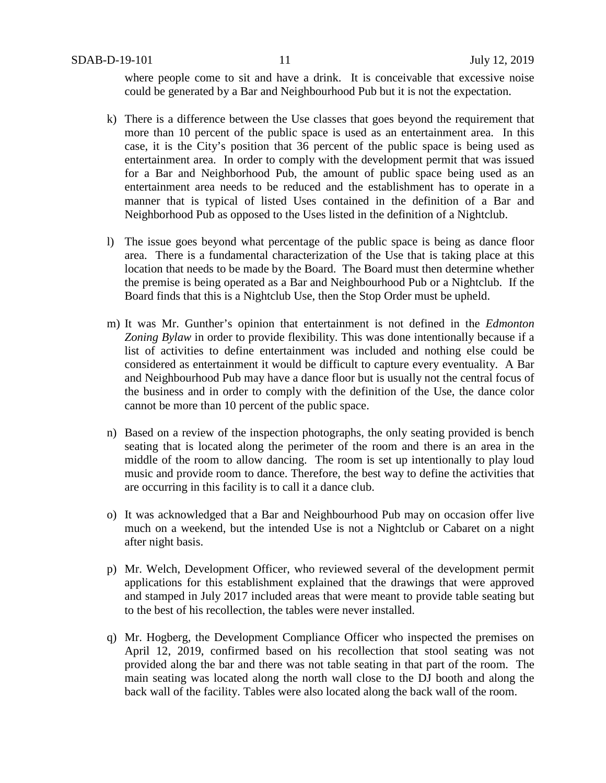where people come to sit and have a drink. It is conceivable that excessive noise could be generated by a Bar and Neighbourhood Pub but it is not the expectation.

- k) There is a difference between the Use classes that goes beyond the requirement that more than 10 percent of the public space is used as an entertainment area. In this case, it is the City's position that 36 percent of the public space is being used as entertainment area. In order to comply with the development permit that was issued for a Bar and Neighborhood Pub, the amount of public space being used as an entertainment area needs to be reduced and the establishment has to operate in a manner that is typical of listed Uses contained in the definition of a Bar and Neighborhood Pub as opposed to the Uses listed in the definition of a Nightclub.
- l) The issue goes beyond what percentage of the public space is being as dance floor area. There is a fundamental characterization of the Use that is taking place at this location that needs to be made by the Board. The Board must then determine whether the premise is being operated as a Bar and Neighbourhood Pub or a Nightclub. If the Board finds that this is a Nightclub Use, then the Stop Order must be upheld.
- m) It was Mr. Gunther's opinion that entertainment is not defined in the *Edmonton Zoning Bylaw* in order to provide flexibility. This was done intentionally because if a list of activities to define entertainment was included and nothing else could be considered as entertainment it would be difficult to capture every eventuality. A Bar and Neighbourhood Pub may have a dance floor but is usually not the central focus of the business and in order to comply with the definition of the Use, the dance color cannot be more than 10 percent of the public space.
- n) Based on a review of the inspection photographs, the only seating provided is bench seating that is located along the perimeter of the room and there is an area in the middle of the room to allow dancing. The room is set up intentionally to play loud music and provide room to dance. Therefore, the best way to define the activities that are occurring in this facility is to call it a dance club.
- o) It was acknowledged that a Bar and Neighbourhood Pub may on occasion offer live much on a weekend, but the intended Use is not a Nightclub or Cabaret on a night after night basis.
- p) Mr. Welch, Development Officer, who reviewed several of the development permit applications for this establishment explained that the drawings that were approved and stamped in July 2017 included areas that were meant to provide table seating but to the best of his recollection, the tables were never installed.
- q) Mr. Hogberg, the Development Compliance Officer who inspected the premises on April 12, 2019, confirmed based on his recollection that stool seating was not provided along the bar and there was not table seating in that part of the room. The main seating was located along the north wall close to the DJ booth and along the back wall of the facility. Tables were also located along the back wall of the room.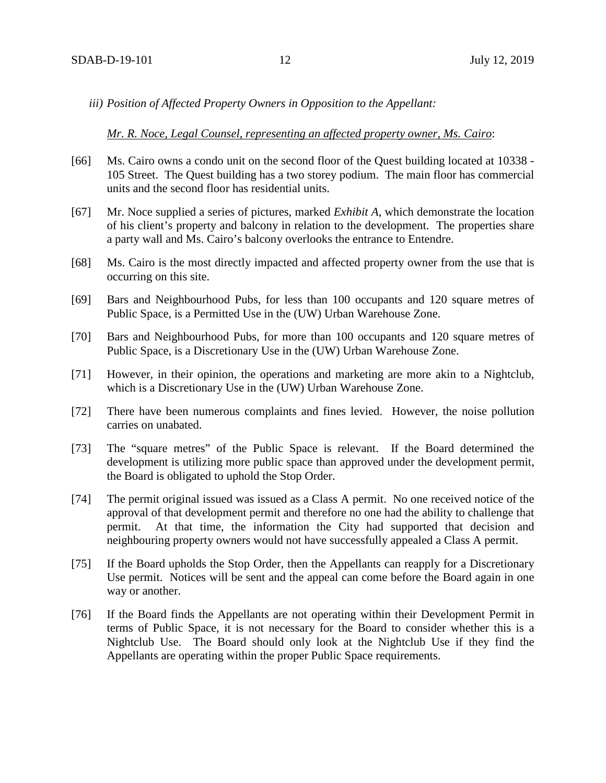*iii) Position of Affected Property Owners in Opposition to the Appellant:*

#### *Mr. R. Noce, Legal Counsel, representing an affected property owner, Ms. Cairo*:

- [66] Ms. Cairo owns a condo unit on the second floor of the Quest building located at 10338 105 Street. The Quest building has a two storey podium. The main floor has commercial units and the second floor has residential units.
- [67] Mr. Noce supplied a series of pictures, marked *Exhibit A*, which demonstrate the location of his client's property and balcony in relation to the development. The properties share a party wall and Ms. Cairo's balcony overlooks the entrance to Entendre.
- [68] Ms. Cairo is the most directly impacted and affected property owner from the use that is occurring on this site.
- [69] Bars and Neighbourhood Pubs, for less than 100 occupants and 120 square metres of Public Space, is a Permitted Use in the (UW) Urban Warehouse Zone.
- [70] Bars and Neighbourhood Pubs, for more than 100 occupants and 120 square metres of Public Space, is a Discretionary Use in the (UW) Urban Warehouse Zone.
- [71] However, in their opinion, the operations and marketing are more akin to a Nightclub, which is a Discretionary Use in the (UW) Urban Warehouse Zone.
- [72] There have been numerous complaints and fines levied. However, the noise pollution carries on unabated.
- [73] The "square metres" of the Public Space is relevant. If the Board determined the development is utilizing more public space than approved under the development permit, the Board is obligated to uphold the Stop Order.
- [74] The permit original issued was issued as a Class A permit. No one received notice of the approval of that development permit and therefore no one had the ability to challenge that permit. At that time, the information the City had supported that decision and neighbouring property owners would not have successfully appealed a Class A permit.
- [75] If the Board upholds the Stop Order, then the Appellants can reapply for a Discretionary Use permit. Notices will be sent and the appeal can come before the Board again in one way or another.
- [76] If the Board finds the Appellants are not operating within their Development Permit in terms of Public Space, it is not necessary for the Board to consider whether this is a Nightclub Use. The Board should only look at the Nightclub Use if they find the Appellants are operating within the proper Public Space requirements.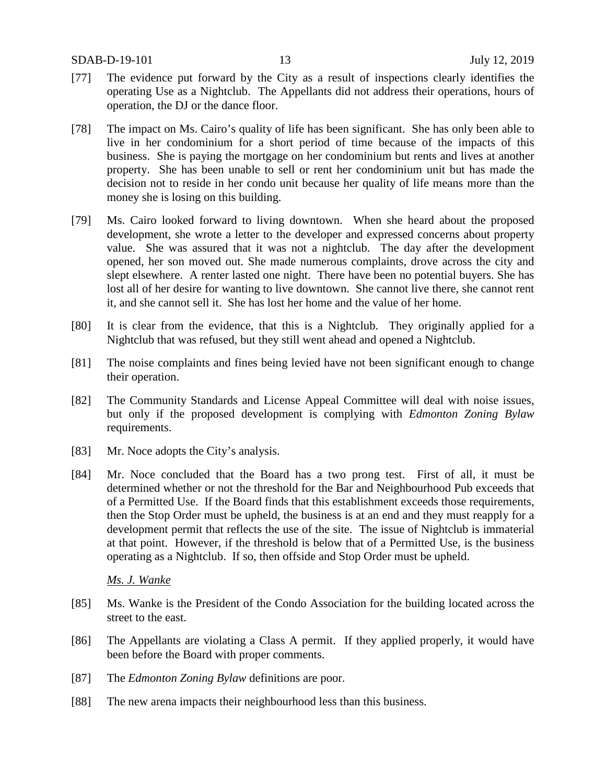- [77] The evidence put forward by the City as a result of inspections clearly identifies the operating Use as a Nightclub. The Appellants did not address their operations, hours of operation, the DJ or the dance floor.
- [78] The impact on Ms. Cairo's quality of life has been significant. She has only been able to live in her condominium for a short period of time because of the impacts of this business. She is paying the mortgage on her condominium but rents and lives at another property. She has been unable to sell or rent her condominium unit but has made the decision not to reside in her condo unit because her quality of life means more than the money she is losing on this building.
- [79] Ms. Cairo looked forward to living downtown. When she heard about the proposed development, she wrote a letter to the developer and expressed concerns about property value. She was assured that it was not a nightclub. The day after the development opened, her son moved out. She made numerous complaints, drove across the city and slept elsewhere. A renter lasted one night. There have been no potential buyers. She has lost all of her desire for wanting to live downtown. She cannot live there, she cannot rent it, and she cannot sell it. She has lost her home and the value of her home.
- [80] It is clear from the evidence, that this is a Nightclub. They originally applied for a Nightclub that was refused, but they still went ahead and opened a Nightclub.
- [81] The noise complaints and fines being levied have not been significant enough to change their operation.
- [82] The Community Standards and License Appeal Committee will deal with noise issues, but only if the proposed development is complying with *Edmonton Zoning Bylaw* requirements.
- [83] Mr. Noce adopts the City's analysis.
- [84] Mr. Noce concluded that the Board has a two prong test. First of all, it must be determined whether or not the threshold for the Bar and Neighbourhood Pub exceeds that of a Permitted Use. If the Board finds that this establishment exceeds those requirements, then the Stop Order must be upheld, the business is at an end and they must reapply for a development permit that reflects the use of the site. The issue of Nightclub is immaterial at that point. However, if the threshold is below that of a Permitted Use, is the business operating as a Nightclub. If so, then offside and Stop Order must be upheld.

## *Ms. J. Wanke*

- [85] Ms. Wanke is the President of the Condo Association for the building located across the street to the east.
- [86] The Appellants are violating a Class A permit. If they applied properly, it would have been before the Board with proper comments.
- [87] The *Edmonton Zoning Bylaw* definitions are poor.
- [88] The new arena impacts their neighbourhood less than this business.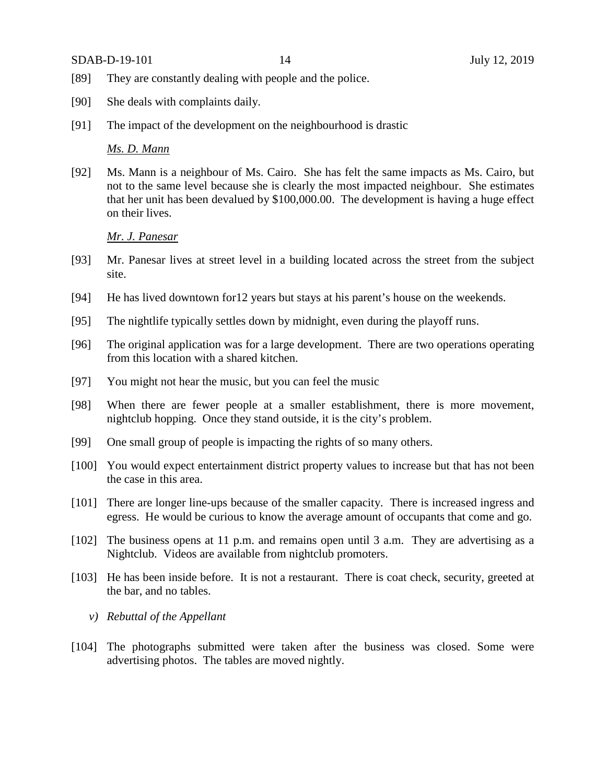SDAB-D-19-101 14 July 12, 2019

- [89] They are constantly dealing with people and the police.
- [90] She deals with complaints daily.
- [91] The impact of the development on the neighbourhood is drastic

## *Ms. D. Mann*

[92] Ms. Mann is a neighbour of Ms. Cairo. She has felt the same impacts as Ms. Cairo, but not to the same level because she is clearly the most impacted neighbour. She estimates that her unit has been devalued by \$100,000.00. The development is having a huge effect on their lives.

## *Mr. J. Panesar*

- [93] Mr. Panesar lives at street level in a building located across the street from the subject site.
- [94] He has lived downtown for12 years but stays at his parent's house on the weekends.
- [95] The nightlife typically settles down by midnight, even during the playoff runs.
- [96] The original application was for a large development. There are two operations operating from this location with a shared kitchen.
- [97] You might not hear the music, but you can feel the music
- [98] When there are fewer people at a smaller establishment, there is more movement, nightclub hopping. Once they stand outside, it is the city's problem.
- [99] One small group of people is impacting the rights of so many others.
- [100] You would expect entertainment district property values to increase but that has not been the case in this area.
- [101] There are longer line-ups because of the smaller capacity. There is increased ingress and egress. He would be curious to know the average amount of occupants that come and go.
- [102] The business opens at 11 p.m. and remains open until 3 a.m. They are advertising as a Nightclub. Videos are available from nightclub promoters.
- [103] He has been inside before. It is not a restaurant. There is coat check, security, greeted at the bar, and no tables.
	- *v) Rebuttal of the Appellant*
- [104] The photographs submitted were taken after the business was closed. Some were advertising photos. The tables are moved nightly.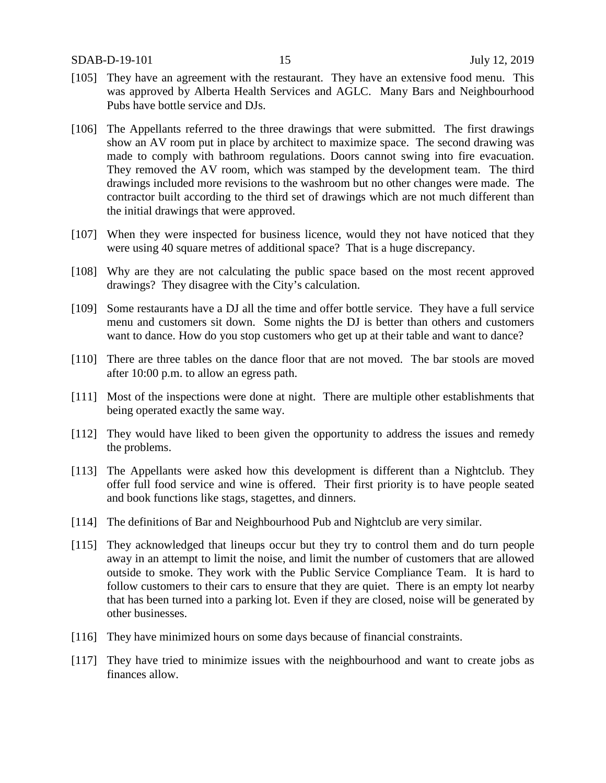- [105] They have an agreement with the restaurant. They have an extensive food menu. This was approved by Alberta Health Services and AGLC. Many Bars and Neighbourhood Pubs have bottle service and DJs.
- [106] The Appellants referred to the three drawings that were submitted. The first drawings show an AV room put in place by architect to maximize space. The second drawing was made to comply with bathroom regulations. Doors cannot swing into fire evacuation. They removed the AV room, which was stamped by the development team. The third drawings included more revisions to the washroom but no other changes were made. The contractor built according to the third set of drawings which are not much different than the initial drawings that were approved.
- [107] When they were inspected for business licence, would they not have noticed that they were using 40 square metres of additional space? That is a huge discrepancy.
- [108] Why are they are not calculating the public space based on the most recent approved drawings? They disagree with the City's calculation.
- [109] Some restaurants have a DJ all the time and offer bottle service. They have a full service menu and customers sit down. Some nights the DJ is better than others and customers want to dance. How do you stop customers who get up at their table and want to dance?
- [110] There are three tables on the dance floor that are not moved. The bar stools are moved after 10:00 p.m. to allow an egress path.
- [111] Most of the inspections were done at night. There are multiple other establishments that being operated exactly the same way.
- [112] They would have liked to been given the opportunity to address the issues and remedy the problems.
- [113] The Appellants were asked how this development is different than a Nightclub. They offer full food service and wine is offered. Their first priority is to have people seated and book functions like stags, stagettes, and dinners.
- [114] The definitions of Bar and Neighbourhood Pub and Nightclub are very similar.
- [115] They acknowledged that lineups occur but they try to control them and do turn people away in an attempt to limit the noise, and limit the number of customers that are allowed outside to smoke. They work with the Public Service Compliance Team. It is hard to follow customers to their cars to ensure that they are quiet. There is an empty lot nearby that has been turned into a parking lot. Even if they are closed, noise will be generated by other businesses.
- [116] They have minimized hours on some days because of financial constraints.
- [117] They have tried to minimize issues with the neighbourhood and want to create jobs as finances allow.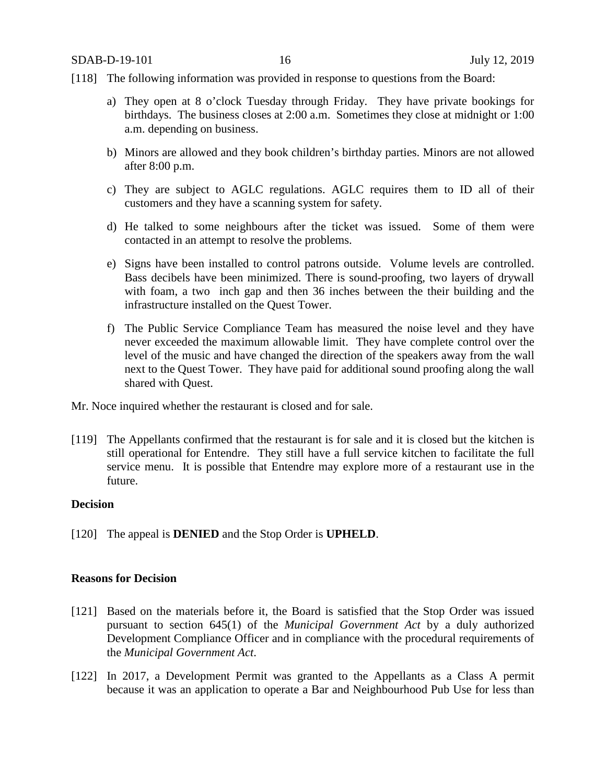- [118] The following information was provided in response to questions from the Board:
	- a) They open at 8 o'clock Tuesday through Friday. They have private bookings for birthdays. The business closes at 2:00 a.m. Sometimes they close at midnight or 1:00 a.m. depending on business.
	- b) Minors are allowed and they book children's birthday parties. Minors are not allowed after 8:00 p.m.
	- c) They are subject to AGLC regulations. AGLC requires them to ID all of their customers and they have a scanning system for safety.
	- d) He talked to some neighbours after the ticket was issued. Some of them were contacted in an attempt to resolve the problems.
	- e) Signs have been installed to control patrons outside. Volume levels are controlled. Bass decibels have been minimized. There is sound-proofing, two layers of drywall with foam, a two inch gap and then 36 inches between the their building and the infrastructure installed on the Quest Tower.
	- f) The Public Service Compliance Team has measured the noise level and they have never exceeded the maximum allowable limit. They have complete control over the level of the music and have changed the direction of the speakers away from the wall next to the Quest Tower. They have paid for additional sound proofing along the wall shared with Quest.

Mr. Noce inquired whether the restaurant is closed and for sale.

[119] The Appellants confirmed that the restaurant is for sale and it is closed but the kitchen is still operational for Entendre. They still have a full service kitchen to facilitate the full service menu. It is possible that Entendre may explore more of a restaurant use in the future.

## **Decision**

[120] The appeal is **DENIED** and the Stop Order is **UPHELD**.

## **Reasons for Decision**

- [121] Based on the materials before it, the Board is satisfied that the Stop Order was issued pursuant to section 645(1) of the *Municipal Government Act* by a duly authorized Development Compliance Officer and in compliance with the procedural requirements of the *Municipal Government Act*.
- [122] In 2017, a Development Permit was granted to the Appellants as a Class A permit because it was an application to operate a Bar and Neighbourhood Pub Use for less than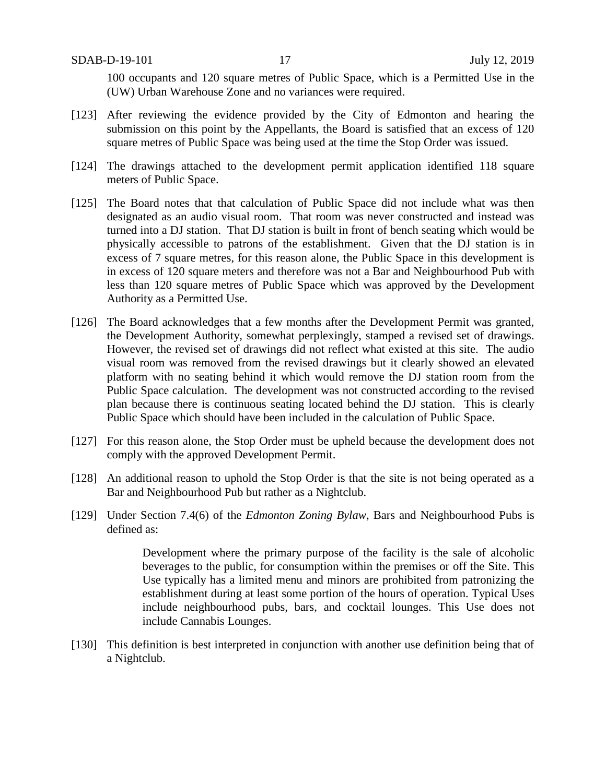100 occupants and 120 square metres of Public Space, which is a Permitted Use in the (UW) Urban Warehouse Zone and no variances were required.

- [123] After reviewing the evidence provided by the City of Edmonton and hearing the submission on this point by the Appellants, the Board is satisfied that an excess of 120 square metres of Public Space was being used at the time the Stop Order was issued.
- [124] The drawings attached to the development permit application identified 118 square meters of Public Space.
- [125] The Board notes that that calculation of Public Space did not include what was then designated as an audio visual room. That room was never constructed and instead was turned into a DJ station. That DJ station is built in front of bench seating which would be physically accessible to patrons of the establishment. Given that the DJ station is in excess of 7 square metres, for this reason alone, the Public Space in this development is in excess of 120 square meters and therefore was not a Bar and Neighbourhood Pub with less than 120 square metres of Public Space which was approved by the Development Authority as a Permitted Use.
- [126] The Board acknowledges that a few months after the Development Permit was granted, the Development Authority, somewhat perplexingly, stamped a revised set of drawings. However, the revised set of drawings did not reflect what existed at this site. The audio visual room was removed from the revised drawings but it clearly showed an elevated platform with no seating behind it which would remove the DJ station room from the Public Space calculation. The development was not constructed according to the revised plan because there is continuous seating located behind the DJ station. This is clearly Public Space which should have been included in the calculation of Public Space.
- [127] For this reason alone, the Stop Order must be upheld because the development does not comply with the approved Development Permit.
- [128] An additional reason to uphold the Stop Order is that the site is not being operated as a Bar and Neighbourhood Pub but rather as a Nightclub.
- [129] Under Section 7.4(6) of the *Edmonton Zoning Bylaw*, Bars and Neighbourhood Pubs is defined as:

Development where the primary purpose of the facility is the sale of alcoholic beverages to the public, for consumption within the premises or off the Site. This Use typically has a limited menu and minors are prohibited from patronizing the establishment during at least some portion of the hours of operation. Typical Uses include neighbourhood pubs, bars, and cocktail lounges. This Use does not include Cannabis Lounges.

[130] This definition is best interpreted in conjunction with another use definition being that of a Nightclub.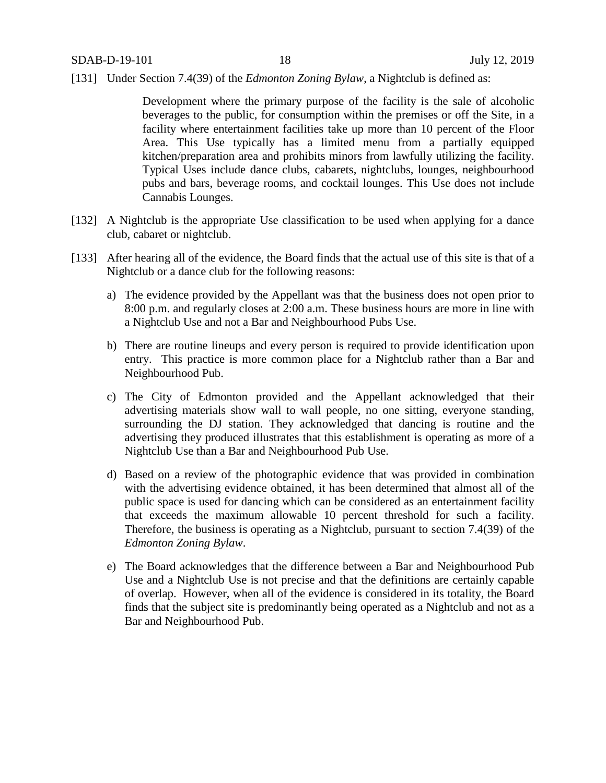[131] Under Section 7.4(39) of the *Edmonton Zoning Bylaw*, a Nightclub is defined as:

Development where the primary purpose of the facility is the sale of alcoholic beverages to the public, for consumption within the premises or off the Site, in a facility where entertainment facilities take up more than 10 percent of the Floor Area. This Use typically has a limited menu from a partially equipped kitchen/preparation area and prohibits minors from lawfully utilizing the facility. Typical Uses include dance clubs, cabarets, nightclubs, lounges, neighbourhood pubs and bars, beverage rooms, and cocktail lounges. This Use does not include Cannabis Lounges.

- [132] A Nightclub is the appropriate Use classification to be used when applying for a dance club, cabaret or nightclub.
- [133] After hearing all of the evidence, the Board finds that the actual use of this site is that of a Nightclub or a dance club for the following reasons:
	- a) The evidence provided by the Appellant was that the business does not open prior to 8:00 p.m. and regularly closes at 2:00 a.m. These business hours are more in line with a Nightclub Use and not a Bar and Neighbourhood Pubs Use.
	- b) There are routine lineups and every person is required to provide identification upon entry. This practice is more common place for a Nightclub rather than a Bar and Neighbourhood Pub.
	- c) The City of Edmonton provided and the Appellant acknowledged that their advertising materials show wall to wall people, no one sitting, everyone standing, surrounding the DJ station. They acknowledged that dancing is routine and the advertising they produced illustrates that this establishment is operating as more of a Nightclub Use than a Bar and Neighbourhood Pub Use.
	- d) Based on a review of the photographic evidence that was provided in combination with the advertising evidence obtained, it has been determined that almost all of the public space is used for dancing which can be considered as an entertainment facility that exceeds the maximum allowable 10 percent threshold for such a facility. Therefore, the business is operating as a Nightclub, pursuant to section 7.4(39) of the *Edmonton Zoning Bylaw*.
	- e) The Board acknowledges that the difference between a Bar and Neighbourhood Pub Use and a Nightclub Use is not precise and that the definitions are certainly capable of overlap. However, when all of the evidence is considered in its totality, the Board finds that the subject site is predominantly being operated as a Nightclub and not as a Bar and Neighbourhood Pub.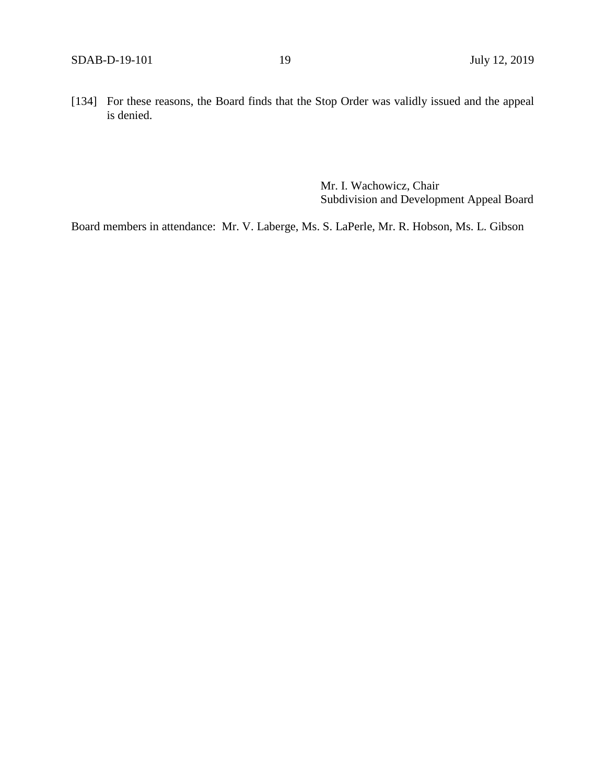[134] For these reasons, the Board finds that the Stop Order was validly issued and the appeal is denied.

> Mr. I. Wachowicz, Chair Subdivision and Development Appeal Board

Board members in attendance: Mr. V. Laberge, Ms. S. LaPerle, Mr. R. Hobson, Ms. L. Gibson